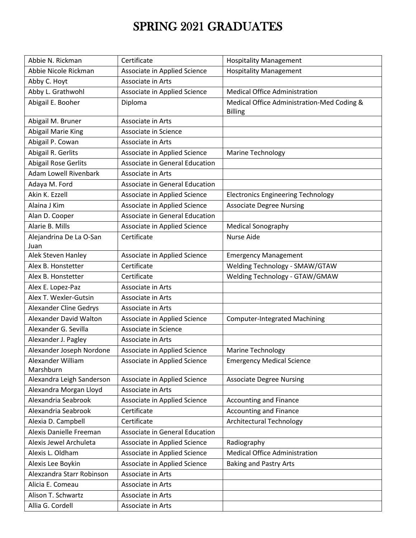## SPRING 2021 GRADUATES

| Abbie N. Rickman                | Certificate                    | <b>Hospitality Management</b>                                |
|---------------------------------|--------------------------------|--------------------------------------------------------------|
| Abbie Nicole Rickman            | Associate in Applied Science   | <b>Hospitality Management</b>                                |
| Abby C. Hoyt                    | Associate in Arts              |                                                              |
| Abby L. Grathwohl               | Associate in Applied Science   | <b>Medical Office Administration</b>                         |
| Abigail E. Booher               | Diploma                        | Medical Office Administration-Med Coding &<br><b>Billing</b> |
| Abigail M. Bruner               | Associate in Arts              |                                                              |
| <b>Abigail Marie King</b>       | Associate in Science           |                                                              |
| Abigail P. Cowan                | Associate in Arts              |                                                              |
| Abigail R. Gerlits              | Associate in Applied Science   | <b>Marine Technology</b>                                     |
| <b>Abigail Rose Gerlits</b>     | Associate in General Education |                                                              |
| <b>Adam Lowell Rivenbark</b>    | Associate in Arts              |                                                              |
| Adaya M. Ford                   | Associate in General Education |                                                              |
| Akin K. Ezzell                  | Associate in Applied Science   | <b>Electronics Engineering Technology</b>                    |
| Alaina J Kim                    | Associate in Applied Science   | <b>Associate Degree Nursing</b>                              |
| Alan D. Cooper                  | Associate in General Education |                                                              |
| Alarie B. Mills                 | Associate in Applied Science   | <b>Medical Sonography</b>                                    |
| Alejandrina De La O-San<br>Juan | Certificate                    | Nurse Aide                                                   |
| Alek Steven Hanley              | Associate in Applied Science   | <b>Emergency Management</b>                                  |
| Alex B. Honstetter              | Certificate                    | Welding Technology - SMAW/GTAW                               |
| Alex B. Honstetter              | Certificate                    | Welding Technology - GTAW/GMAW                               |
| Alex E. Lopez-Paz               | Associate in Arts              |                                                              |
| Alex T. Wexler-Gutsin           | Associate in Arts              |                                                              |
| Alexander Cline Gedrys          | Associate in Arts              |                                                              |
| Alexander David Walton          | Associate in Applied Science   | <b>Computer-Integrated Machining</b>                         |
| Alexander G. Sevilla            | Associate in Science           |                                                              |
| Alexander J. Pagley             | Associate in Arts              |                                                              |
| Alexander Joseph Nordone        | Associate in Applied Science   | Marine Technology                                            |
| Alexander William<br>Marshburn  | Associate in Applied Science   | <b>Emergency Medical Science</b>                             |
| Alexandra Leigh Sanderson       | Associate in Applied Science   | <b>Associate Degree Nursing</b>                              |
| Alexandra Morgan Lloyd          | Associate in Arts              |                                                              |
| Alexandria Seabrook             | Associate in Applied Science   | <b>Accounting and Finance</b>                                |
| Alexandria Seabrook             | Certificate                    | <b>Accounting and Finance</b>                                |
| Alexia D. Campbell              | Certificate                    | <b>Architectural Technology</b>                              |
| Alexis Danielle Freeman         | Associate in General Education |                                                              |
| Alexis Jewel Archuleta          | Associate in Applied Science   | Radiography                                                  |
| Alexis L. Oldham                | Associate in Applied Science   | <b>Medical Office Administration</b>                         |
| Alexis Lee Boykin               | Associate in Applied Science   | <b>Baking and Pastry Arts</b>                                |
| Alexzandra Starr Robinson       | Associate in Arts              |                                                              |
| Alicia E. Comeau                | Associate in Arts              |                                                              |
| Alison T. Schwartz              | Associate in Arts              |                                                              |
| Allia G. Cordell                | Associate in Arts              |                                                              |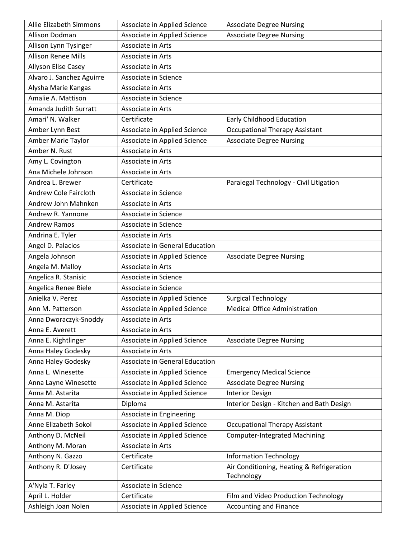| Allie Elizabeth Simmons    | Associate in Applied Science   | <b>Associate Degree Nursing</b>           |
|----------------------------|--------------------------------|-------------------------------------------|
| Allison Dodman             | Associate in Applied Science   | <b>Associate Degree Nursing</b>           |
| Allison Lynn Tysinger      | Associate in Arts              |                                           |
| <b>Allison Renee Mills</b> | Associate in Arts              |                                           |
| Allyson Elise Casey        | Associate in Arts              |                                           |
| Alvaro J. Sanchez Aguirre  | Associate in Science           |                                           |
| Alysha Marie Kangas        | Associate in Arts              |                                           |
| Amalie A. Mattison         | Associate in Science           |                                           |
| Amanda Judith Surratt      | Associate in Arts              |                                           |
| Amari' N. Walker           | Certificate                    | Early Childhood Education                 |
| Amber Lynn Best            | Associate in Applied Science   | <b>Occupational Therapy Assistant</b>     |
| Amber Marie Taylor         | Associate in Applied Science   | <b>Associate Degree Nursing</b>           |
| Amber N. Rust              | Associate in Arts              |                                           |
| Amy L. Covington           | Associate in Arts              |                                           |
| Ana Michele Johnson        | Associate in Arts              |                                           |
| Andrea L. Brewer           | Certificate                    | Paralegal Technology - Civil Litigation   |
| Andrew Cole Faircloth      | Associate in Science           |                                           |
| Andrew John Mahnken        | Associate in Arts              |                                           |
| Andrew R. Yannone          | Associate in Science           |                                           |
| <b>Andrew Ramos</b>        | Associate in Science           |                                           |
| Andrina E. Tyler           | Associate in Arts              |                                           |
| Angel D. Palacios          | Associate in General Education |                                           |
| Angela Johnson             | Associate in Applied Science   | <b>Associate Degree Nursing</b>           |
| Angela M. Malloy           | Associate in Arts              |                                           |
| Angelica R. Stanisic       | Associate in Science           |                                           |
| Angelica Renee Biele       | Associate in Science           |                                           |
| Anielka V. Perez           | Associate in Applied Science   | <b>Surgical Technology</b>                |
| Ann M. Patterson           | Associate in Applied Science   | <b>Medical Office Administration</b>      |
| Anna Dworaczyk-Snoddy      | Associate in Arts              |                                           |
| Anna E. Averett            | Associate in Arts              |                                           |
| Anna E. Kightlinger        | Associate in Applied Science   | <b>Associate Degree Nursing</b>           |
| Anna Haley Godesky         | Associate in Arts              |                                           |
| Anna Haley Godesky         | Associate in General Education |                                           |
| Anna L. Winesette          | Associate in Applied Science   | <b>Emergency Medical Science</b>          |
| Anna Layne Winesette       | Associate in Applied Science   | <b>Associate Degree Nursing</b>           |
| Anna M. Astarita           | Associate in Applied Science   | <b>Interior Design</b>                    |
| Anna M. Astarita           | Diploma                        | Interior Design - Kitchen and Bath Design |
| Anna M. Diop               | Associate in Engineering       |                                           |
| Anne Elizabeth Sokol       | Associate in Applied Science   | <b>Occupational Therapy Assistant</b>     |
| Anthony D. McNeil          | Associate in Applied Science   | <b>Computer-Integrated Machining</b>      |
| Anthony M. Moran           | Associate in Arts              |                                           |
| Anthony N. Gazzo           | Certificate                    | <b>Information Technology</b>             |
| Anthony R. D'Josey         | Certificate                    | Air Conditioning, Heating & Refrigeration |
|                            |                                | Technology                                |
| A'Nyla T. Farley           | Associate in Science           |                                           |
| April L. Holder            | Certificate                    | Film and Video Production Technology      |
| Ashleigh Joan Nolen        | Associate in Applied Science   | <b>Accounting and Finance</b>             |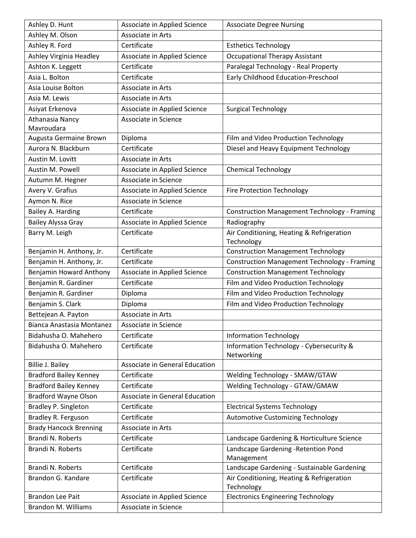| Ashley D. Hunt                | Associate in Applied Science   | <b>Associate Degree Nursing</b>                     |
|-------------------------------|--------------------------------|-----------------------------------------------------|
| Ashley M. Olson               | Associate in Arts              |                                                     |
| Ashley R. Ford                | Certificate                    | <b>Esthetics Technology</b>                         |
| Ashley Virginia Headley       | Associate in Applied Science   | <b>Occupational Therapy Assistant</b>               |
| Ashton K. Leggett             | Certificate                    | Paralegal Technology - Real Property                |
| Asia L. Bolton                | Certificate                    | Early Childhood Education-Preschool                 |
| Asia Louise Bolton            | Associate in Arts              |                                                     |
| Asia M. Lewis                 | Associate in Arts              |                                                     |
| Asiyat Erkenova               | Associate in Applied Science   | <b>Surgical Technology</b>                          |
| <b>Athanasia Nancy</b>        | Associate in Science           |                                                     |
| Mavroudara                    |                                |                                                     |
| Augusta Germaine Brown        | Diploma                        | Film and Video Production Technology                |
| Aurora N. Blackburn           | Certificate                    | Diesel and Heavy Equipment Technology               |
| Austin M. Lovitt              | Associate in Arts              |                                                     |
| Austin M. Powell              | Associate in Applied Science   | <b>Chemical Technology</b>                          |
| Autumn M. Hegner              | Associate in Science           |                                                     |
| Avery V. Grafius              | Associate in Applied Science   | <b>Fire Protection Technology</b>                   |
| Aymon N. Rice                 | Associate in Science           |                                                     |
| Bailey A. Harding             | Certificate                    | <b>Construction Management Technology - Framing</b> |
| <b>Bailey Alyssa Gray</b>     | Associate in Applied Science   | Radiography                                         |
| Barry M. Leigh                | Certificate                    | Air Conditioning, Heating & Refrigeration           |
|                               |                                | Technology                                          |
| Benjamin H. Anthony, Jr.      | Certificate                    | <b>Construction Management Technology</b>           |
| Benjamin H. Anthony, Jr.      | Certificate                    | <b>Construction Management Technology - Framing</b> |
| Benjamin Howard Anthony       | Associate in Applied Science   | <b>Construction Management Technology</b>           |
| Benjamin R. Gardiner          | Certificate                    | Film and Video Production Technology                |
| Benjamin R. Gardiner          | Diploma                        | Film and Video Production Technology                |
| Benjamin S. Clark             | Diploma                        | Film and Video Production Technology                |
| Bettejean A. Payton           | Associate in Arts              |                                                     |
| Bianca Anastasia Montanez     | Associate in Science           |                                                     |
| Bidahusha O. Mahehero         | Certificate                    | <b>Information Technology</b>                       |
| Bidahusha O. Mahehero         | Certificate                    | Information Technology - Cybersecurity &            |
|                               |                                | Networking                                          |
| <b>Billie J. Bailey</b>       | Associate in General Education |                                                     |
| <b>Bradford Bailey Kenney</b> | Certificate                    | Welding Technology - SMAW/GTAW                      |
| <b>Bradford Bailey Kenney</b> | Certificate                    | Welding Technology - GTAW/GMAW                      |
| <b>Bradford Wayne Olson</b>   | Associate in General Education |                                                     |
| <b>Bradley P. Singleton</b>   | Certificate                    | <b>Electrical Systems Technology</b>                |
| Bradley R. Ferguson           | Certificate                    | <b>Automotive Customizing Technology</b>            |
| <b>Brady Hancock Brenning</b> | Associate in Arts              |                                                     |
| Brandi N. Roberts             | Certificate                    | Landscape Gardening & Horticulture Science          |
| Brandi N. Roberts             | Certificate                    | Landscape Gardening - Retention Pond<br>Management  |
| Brandi N. Roberts             | Certificate                    | Landscape Gardening - Sustainable Gardening         |
| Brandon G. Kandare            | Certificate                    | Air Conditioning, Heating & Refrigeration           |
|                               |                                | Technology                                          |
| <b>Brandon Lee Pait</b>       | Associate in Applied Science   | <b>Electronics Engineering Technology</b>           |
| <b>Brandon M. Williams</b>    | Associate in Science           |                                                     |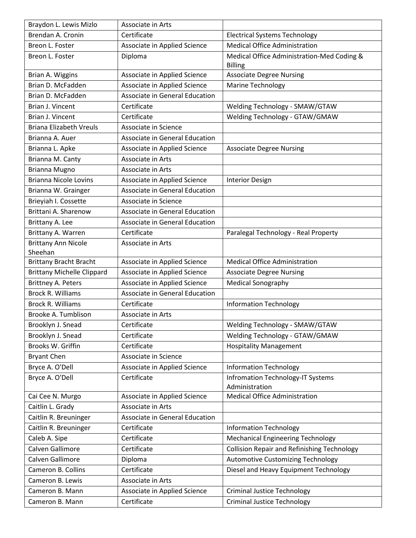| Braydon L. Lewis Mizlo            | Associate in Arts              |                                                    |
|-----------------------------------|--------------------------------|----------------------------------------------------|
| Brendan A. Cronin                 | Certificate                    | <b>Electrical Systems Technology</b>               |
| Breon L. Foster                   | Associate in Applied Science   | <b>Medical Office Administration</b>               |
| Breon L. Foster                   | Diploma                        | Medical Office Administration-Med Coding &         |
|                                   |                                | <b>Billing</b>                                     |
| Brian A. Wiggins                  | Associate in Applied Science   | <b>Associate Degree Nursing</b>                    |
| Brian D. McFadden                 | Associate in Applied Science   | <b>Marine Technology</b>                           |
| Brian D. McFadden                 | Associate in General Education |                                                    |
| Brian J. Vincent                  | Certificate                    | Welding Technology - SMAW/GTAW                     |
| Brian J. Vincent                  | Certificate                    | Welding Technology - GTAW/GMAW                     |
| <b>Briana Elizabeth Vreuls</b>    | Associate in Science           |                                                    |
| Brianna A. Auer                   | Associate in General Education |                                                    |
| Brianna L. Apke                   | Associate in Applied Science   | <b>Associate Degree Nursing</b>                    |
| Brianna M. Canty                  | <b>Associate in Arts</b>       |                                                    |
| Brianna Mugno                     | Associate in Arts              |                                                    |
| <b>Brianna Nicole Lovins</b>      | Associate in Applied Science   | <b>Interior Design</b>                             |
| Brianna W. Grainger               | Associate in General Education |                                                    |
| Brieyiah I. Cossette              | Associate in Science           |                                                    |
| Brittani A. Sharenow              | Associate in General Education |                                                    |
| Brittany A. Lee                   | Associate in General Education |                                                    |
| Brittany A. Warren                | Certificate                    | Paralegal Technology - Real Property               |
| <b>Brittany Ann Nicole</b>        | Associate in Arts              |                                                    |
| Sheehan                           |                                |                                                    |
| <b>Brittany Bracht Bracht</b>     | Associate in Applied Science   | <b>Medical Office Administration</b>               |
| <b>Brittany Michelle Clippard</b> | Associate in Applied Science   | <b>Associate Degree Nursing</b>                    |
| <b>Brittney A. Peters</b>         | Associate in Applied Science   | <b>Medical Sonography</b>                          |
| <b>Brock R. Williams</b>          | Associate in General Education |                                                    |
| <b>Brock R. Williams</b>          | Certificate                    | <b>Information Technology</b>                      |
| Brooke A. Tumblison               | Associate in Arts              |                                                    |
| Brooklyn J. Snead                 | Certificate                    | Welding Technology - SMAW/GTAW                     |
| Brooklyn J. Snead                 | Certificate                    | Welding Technology - GTAW/GMAW                     |
| Brooks W. Griffin                 | Certificate                    | <b>Hospitality Management</b>                      |
| <b>Bryant Chen</b>                | Associate in Science           |                                                    |
| Bryce A. O'Dell                   | Associate in Applied Science   | <b>Information Technology</b>                      |
| Bryce A. O'Dell                   | Certificate                    | <b>Infromation Technology-IT Systems</b>           |
|                                   |                                | Administration                                     |
| Cai Cee N. Murgo                  | Associate in Applied Science   | <b>Medical Office Administration</b>               |
| Caitlin L. Grady                  | Associate in Arts              |                                                    |
| Caitlin R. Breuninger             | Associate in General Education |                                                    |
| Caitlin R. Breuninger             | Certificate                    | <b>Information Technology</b>                      |
| Caleb A. Sipe                     | Certificate                    | <b>Mechanical Engineering Technology</b>           |
| Calven Gallimore                  | Certificate                    | <b>Collision Repair and Refinishing Technology</b> |
| Calven Gallimore                  | Diploma                        | <b>Automotive Customizing Technology</b>           |
| Cameron B. Collins                | Certificate                    | Diesel and Heavy Equipment Technology              |
| Cameron B. Lewis                  | Associate in Arts              |                                                    |
| Cameron B. Mann                   | Associate in Applied Science   | <b>Criminal Justice Technology</b>                 |
| Cameron B. Mann                   | Certificate                    | <b>Criminal Justice Technology</b>                 |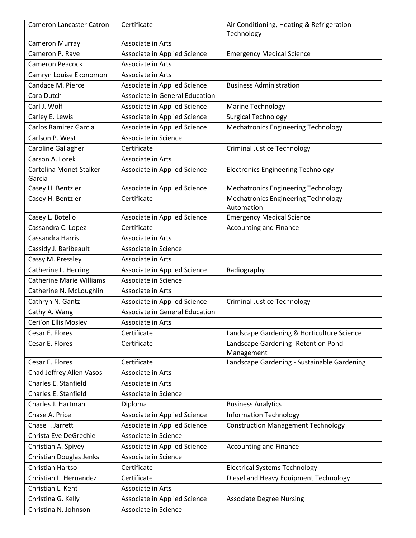| <b>Cameron Lancaster Catron</b> | Certificate                    | Air Conditioning, Heating & Refrigeration<br>Technology |
|---------------------------------|--------------------------------|---------------------------------------------------------|
| <b>Cameron Murray</b>           | Associate in Arts              |                                                         |
| Cameron P. Rave                 | Associate in Applied Science   | <b>Emergency Medical Science</b>                        |
| <b>Cameron Peacock</b>          | Associate in Arts              |                                                         |
| Camryn Louise Ekonomon          | Associate in Arts              |                                                         |
| Candace M. Pierce               | Associate in Applied Science   | <b>Business Administration</b>                          |
| Cara Dutch                      | Associate in General Education |                                                         |
| Carl J. Wolf                    | Associate in Applied Science   | <b>Marine Technology</b>                                |
| Carley E. Lewis                 | Associate in Applied Science   | <b>Surgical Technology</b>                              |
| Carlos Ramirez Garcia           | Associate in Applied Science   | <b>Mechatronics Engineering Technology</b>              |
| Carlson P. West                 | Associate in Science           |                                                         |
| Caroline Gallagher              | Certificate                    | <b>Criminal Justice Technology</b>                      |
| Carson A. Lorek                 | Associate in Arts              |                                                         |
| Cartelina Monet Stalker         | Associate in Applied Science   | <b>Electronics Engineering Technology</b>               |
| Garcia                          |                                |                                                         |
| Casey H. Bentzler               | Associate in Applied Science   | <b>Mechatronics Engineering Technology</b>              |
| Casey H. Bentzler               | Certificate                    | <b>Mechatronics Engineering Technology</b>              |
|                                 |                                | Automation                                              |
| Casey L. Botello                | Associate in Applied Science   | <b>Emergency Medical Science</b>                        |
| Cassandra C. Lopez              | Certificate                    | Accounting and Finance                                  |
| Cassandra Harris                | Associate in Arts              |                                                         |
| Cassidy J. Baribeault           | Associate in Science           |                                                         |
| Cassy M. Pressley               | Associate in Arts              |                                                         |
| Catherine L. Herring            | Associate in Applied Science   | Radiography                                             |
| <b>Catherine Marie Williams</b> | Associate in Science           |                                                         |
| Catherine N. McLoughlin         | Associate in Arts              |                                                         |
| Cathryn N. Gantz                | Associate in Applied Science   | <b>Criminal Justice Technology</b>                      |
| Cathy A. Wang                   | Associate in General Education |                                                         |
| Ceri'on Ellis Mosley            | Associate in Arts              |                                                         |
| Cesar E. Flores                 | Certificate                    | Landscape Gardening & Horticulture Science              |
| Cesar E. Flores                 | Certificate                    | Landscape Gardening - Retention Pond                    |
|                                 |                                | Management                                              |
| Cesar E. Flores                 | Certificate                    | Landscape Gardening - Sustainable Gardening             |
| Chad Jeffrey Allen Vasos        | Associate in Arts              |                                                         |
| Charles E. Stanfield            | Associate in Arts              |                                                         |
| Charles E. Stanfield            | Associate in Science           |                                                         |
| Charles J. Hartman              | Diploma                        | <b>Business Analytics</b>                               |
| Chase A. Price                  | Associate in Applied Science   | <b>Information Technology</b>                           |
| Chase I. Jarrett                | Associate in Applied Science   | <b>Construction Management Technology</b>               |
| Christa Eve DeGrechie           | Associate in Science           |                                                         |
| Christian A. Spivey             | Associate in Applied Science   | <b>Accounting and Finance</b>                           |
| Christian Douglas Jenks         | Associate in Science           |                                                         |
| Christian Hartso                | Certificate                    | <b>Electrical Systems Technology</b>                    |
| Christian L. Hernandez          | Certificate                    | Diesel and Heavy Equipment Technology                   |
| Christian L. Kent               | Associate in Arts              |                                                         |
| Christina G. Kelly              | Associate in Applied Science   | <b>Associate Degree Nursing</b>                         |
| Christina N. Johnson            | Associate in Science           |                                                         |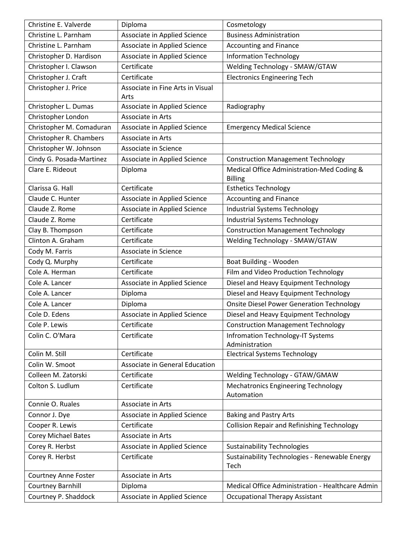| Christine E. Valverde       | Diploma                          | Cosmetology                                                  |
|-----------------------------|----------------------------------|--------------------------------------------------------------|
| Christine L. Parnham        | Associate in Applied Science     | <b>Business Administration</b>                               |
| Christine L. Parnham        | Associate in Applied Science     | <b>Accounting and Finance</b>                                |
| Christopher D. Hardison     | Associate in Applied Science     | <b>Information Technology</b>                                |
| Christopher I. Clawson      | Certificate                      | Welding Technology - SMAW/GTAW                               |
| Christopher J. Craft        | Certificate                      | <b>Electronics Engineering Tech</b>                          |
| Christopher J. Price        | Associate in Fine Arts in Visual |                                                              |
|                             | Arts                             |                                                              |
| Christopher L. Dumas        | Associate in Applied Science     | Radiography                                                  |
| Christopher London          | Associate in Arts                |                                                              |
| Christopher M. Comaduran    | Associate in Applied Science     | <b>Emergency Medical Science</b>                             |
| Christopher R. Chambers     | Associate in Arts                |                                                              |
| Christopher W. Johnson      | Associate in Science             |                                                              |
| Cindy G. Posada-Martinez    | Associate in Applied Science     | <b>Construction Management Technology</b>                    |
| Clare E. Rideout            | Diploma                          | Medical Office Administration-Med Coding &<br><b>Billing</b> |
| Clarissa G. Hall            | Certificate                      | <b>Esthetics Technology</b>                                  |
| Claude C. Hunter            | Associate in Applied Science     | <b>Accounting and Finance</b>                                |
| Claude Z. Rome              | Associate in Applied Science     | Industrial Systems Technology                                |
| Claude Z. Rome              | Certificate                      | <b>Industrial Systems Technology</b>                         |
| Clay B. Thompson            | Certificate                      | <b>Construction Management Technology</b>                    |
| Clinton A. Graham           | Certificate                      | Welding Technology - SMAW/GTAW                               |
| Cody M. Farris              | Associate in Science             |                                                              |
| Cody Q. Murphy              | Certificate                      | Boat Building - Wooden                                       |
| Cole A. Herman              | Certificate                      | Film and Video Production Technology                         |
| Cole A. Lancer              | Associate in Applied Science     | Diesel and Heavy Equipment Technology                        |
| Cole A. Lancer              | Diploma                          | Diesel and Heavy Equipment Technology                        |
| Cole A. Lancer              | Diploma                          | <b>Onsite Diesel Power Generation Technology</b>             |
| Cole D. Edens               | Associate in Applied Science     | Diesel and Heavy Equipment Technology                        |
| Cole P. Lewis               | Certificate                      | <b>Construction Management Technology</b>                    |
| Colin C. O'Mara             | Certificate                      | <b>Infromation Technology-IT Systems</b>                     |
|                             |                                  | Administration                                               |
| Colin M. Still              | Certificate                      | <b>Electrical Systems Technology</b>                         |
| Colin W. Smoot              | Associate in General Education   |                                                              |
| Colleen M. Zatorski         | Certificate                      | Welding Technology - GTAW/GMAW                               |
| Colton S. Ludlum            | Certificate                      | <b>Mechatronics Engineering Technology</b><br>Automation     |
| Connie O. Ruales            | Associate in Arts                |                                                              |
| Connor J. Dye               | Associate in Applied Science     | <b>Baking and Pastry Arts</b>                                |
| Cooper R. Lewis             | Certificate                      | <b>Collision Repair and Refinishing Technology</b>           |
| Corey Michael Bates         | Associate in Arts                |                                                              |
| Corey R. Herbst             | Associate in Applied Science     | <b>Sustainability Technologies</b>                           |
| Corey R. Herbst             | Certificate                      | Sustainability Technologies - Renewable Energy               |
|                             |                                  | Tech                                                         |
| <b>Courtney Anne Foster</b> | Associate in Arts                |                                                              |
| <b>Courtney Barnhill</b>    | Diploma                          | Medical Office Administration - Healthcare Admin             |
| Courtney P. Shaddock        | Associate in Applied Science     | <b>Occupational Therapy Assistant</b>                        |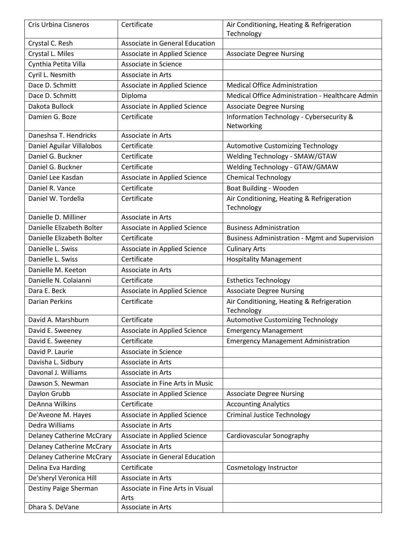| Cris Urbina Cisneros             | Certificate                      | Air Conditioning, Heating & Refrigeration              |
|----------------------------------|----------------------------------|--------------------------------------------------------|
|                                  |                                  | Technology                                             |
| Crystal C. Resh                  | Associate in General Education   |                                                        |
| Crystal L. Miles                 | Associate in Applied Science     | <b>Associate Degree Nursing</b>                        |
| Cynthia Petita Villa             | Associate in Science             |                                                        |
| Cyril L. Nesmith                 | Associate in Arts                |                                                        |
| Dace D. Schmitt                  | Associate in Applied Science     | <b>Medical Office Administration</b>                   |
| Dace D. Schmitt                  | Diploma                          | Medical Office Administration - Healthcare Admin       |
| Dakota Bullock                   | Associate in Applied Science     | <b>Associate Degree Nursing</b>                        |
| Damien G. Boze                   | Certificate                      | Information Technology - Cybersecurity &<br>Networking |
| Daneshsa T. Hendricks            | Associate in Arts                |                                                        |
| Daniel Aguilar Villalobos        | Certificate                      | <b>Automotive Customizing Technology</b>               |
| Daniel G. Buckner                | Certificate                      | Welding Technology - SMAW/GTAW                         |
| Daniel G. Buckner                | Certificate                      | Welding Technology - GTAW/GMAW                         |
| Daniel Lee Kasdan                | Associate in Applied Science     | <b>Chemical Technology</b>                             |
| Daniel R. Vance                  | Certificate                      | Boat Building - Wooden                                 |
| Daniel W. Tordella               | Certificate                      | Air Conditioning, Heating & Refrigeration              |
|                                  |                                  | Technology                                             |
| Danielle D. Milliner             | Associate in Arts                |                                                        |
| Danielle Elizabeth Bolter        | Associate in Applied Science     | <b>Business Administration</b>                         |
| Danielle Elizabeth Bolter        | Certificate                      | <b>Business Administration - Mgmt and Supervision</b>  |
| Danielle L. Swiss                | Associate in Applied Science     | <b>Culinary Arts</b>                                   |
| Danielle L. Swiss                | Certificate                      | <b>Hospitality Management</b>                          |
| Danielle M. Keeton               | Associate in Arts                |                                                        |
| Danielle N. Colaianni            | Certificate                      | <b>Esthetics Technology</b>                            |
| Dara E. Beck                     | Associate in Applied Science     | <b>Associate Degree Nursing</b>                        |
| <b>Darian Perkins</b>            | Certificate                      | Air Conditioning, Heating & Refrigeration              |
|                                  |                                  | Technology                                             |
| David A. Marshburn               | Certificate                      | <b>Automotive Customizing Technology</b>               |
| David E. Sweeney                 | Associate in Applied Science     | <b>Emergency Management</b>                            |
| David E. Sweeney                 | Certificate                      | <b>Emergency Management Administration</b>             |
| David P. Laurie                  | Associate in Science             |                                                        |
| Davisha L. Sidbury               | Associate in Arts                |                                                        |
| Davonal J. Williams              | Associate in Arts                |                                                        |
| Dawson S. Newman                 | Associate in Fine Arts in Music  |                                                        |
| Daylon Grubb                     | Associate in Applied Science     | <b>Associate Degree Nursing</b>                        |
| DeAnna Wilkins                   | Certificate                      | <b>Accounting Analytics</b>                            |
| De'Aveone M. Hayes               | Associate in Applied Science     | <b>Criminal Justice Technology</b>                     |
| Dedra Williams                   | Associate in Arts                |                                                        |
| <b>Delaney Catherine McCrary</b> | Associate in Applied Science     | Cardiovascular Sonography                              |
| <b>Delaney Catherine McCrary</b> | Associate in Arts                |                                                        |
| <b>Delaney Catherine McCrary</b> | Associate in General Education   |                                                        |
| Delina Eva Harding               | Certificate                      | Cosmetology Instructor                                 |
| De'sheryl Veronica Hill          | Associate in Arts                |                                                        |
| Destiny Paige Sherman            | Associate in Fine Arts in Visual |                                                        |
|                                  | Arts                             |                                                        |
| Dhara S. DeVane                  | Associate in Arts                |                                                        |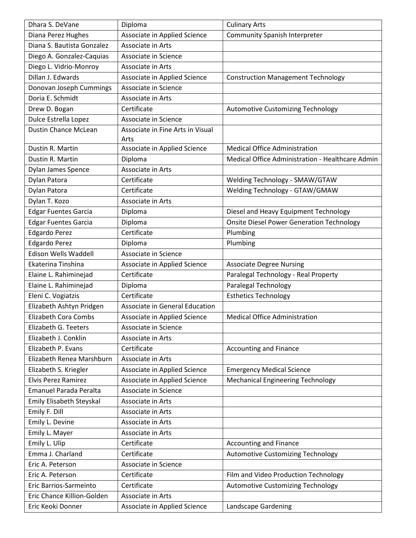| Dhara S. DeVane               | Diploma                          | <b>Culinary Arts</b>                             |
|-------------------------------|----------------------------------|--------------------------------------------------|
| Diana Perez Hughes            | Associate in Applied Science     | <b>Community Spanish Interpreter</b>             |
| Diana S. Bautista Gonzalez    | Associate in Arts                |                                                  |
| Diego A. Gonzalez-Caquias     | Associate in Science             |                                                  |
| Diego L. Vidrio-Monroy        | Associate in Arts                |                                                  |
| Dillan J. Edwards             | Associate in Applied Science     | <b>Construction Management Technology</b>        |
| Donovan Joseph Cummings       | Associate in Science             |                                                  |
| Doria E. Schmidt              | Associate in Arts                |                                                  |
| Drew D. Bogan                 | Certificate                      | Automotive Customizing Technology                |
| Dulce Estrella Lopez          | Associate in Science             |                                                  |
| <b>Dustin Chance McLean</b>   | Associate in Fine Arts in Visual |                                                  |
|                               | Arts                             |                                                  |
| Dustin R. Martin              | Associate in Applied Science     | <b>Medical Office Administration</b>             |
| Dustin R. Martin              | Diploma                          | Medical Office Administration - Healthcare Admin |
| Dylan James Spence            | Associate in Arts                |                                                  |
| Dylan Patora                  | Certificate                      | Welding Technology - SMAW/GTAW                   |
| Dylan Patora                  | Certificate                      | Welding Technology - GTAW/GMAW                   |
| Dylan T. Kozo                 | Associate in Arts                |                                                  |
| <b>Edgar Fuentes Garcia</b>   | Diploma                          | Diesel and Heavy Equipment Technology            |
| <b>Edgar Fuentes Garcia</b>   | Diploma                          | <b>Onsite Diesel Power Generation Technology</b> |
| <b>Edgardo Perez</b>          | Certificate                      | Plumbing                                         |
| <b>Edgardo Perez</b>          | Diploma                          | Plumbing                                         |
| Edison Wells Waddell          | Associate in Science             |                                                  |
| Ekaterina Tinshina            | Associate in Applied Science     | <b>Associate Degree Nursing</b>                  |
| Elaine L. Rahiminejad         | Certificate                      | Paralegal Technology - Real Property             |
| Elaine L. Rahiminejad         | Diploma                          | Paralegal Technology                             |
| Eleni C. Vogiatzis            | Certificate                      | <b>Esthetics Technology</b>                      |
| Elizabeth Ashtyn Pridgen      | Associate in General Education   |                                                  |
| <b>Elizabeth Cora Combs</b>   | Associate in Applied Science     | <b>Medical Office Administration</b>             |
| Elizabeth G. Teeters          | Associate in Science             |                                                  |
| Elizabeth J. Conklin          | Associate in Arts                |                                                  |
| Elizabeth P. Evans            | Certificate                      | <b>Accounting and Finance</b>                    |
| Elizabeth Renea Marshburn     | Associate in Arts                |                                                  |
| Elizabeth S. Kriegler         | Associate in Applied Science     | <b>Emergency Medical Science</b>                 |
| <b>Elvis Perez Ramirez</b>    | Associate in Applied Science     | <b>Mechanical Engineering Technology</b>         |
| <b>Emanuel Parada Peralta</b> | Associate in Science             |                                                  |
| Emily Elisabeth Steyskal      | Associate in Arts                |                                                  |
| Emily F. Dill                 | Associate in Arts                |                                                  |
| Emily L. Devine               | Associate in Arts                |                                                  |
| Emily L. Mayer                | Associate in Arts                |                                                  |
| Emily L. Ulip                 | Certificate                      | <b>Accounting and Finance</b>                    |
| Emma J. Charland              | Certificate                      | <b>Automotive Customizing Technology</b>         |
| Eric A. Peterson              | Associate in Science             |                                                  |
| Eric A. Peterson              | Certificate                      | Film and Video Production Technology             |
| Eric Barrios-Sarmeinto        | Certificate                      | <b>Automotive Customizing Technology</b>         |
| Eric Chance Killion-Golden    | Associate in Arts                |                                                  |
| Eric Keoki Donner             | Associate in Applied Science     | Landscape Gardening                              |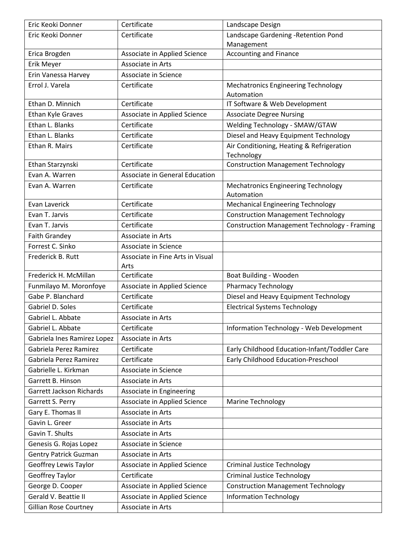| Eric Keoki Donner            | Certificate                              | Landscape Design                                         |
|------------------------------|------------------------------------------|----------------------------------------------------------|
| Eric Keoki Donner            | Certificate                              | Landscape Gardening - Retention Pond                     |
|                              |                                          | Management                                               |
| Erica Brogden                | Associate in Applied Science             | <b>Accounting and Finance</b>                            |
| Erik Meyer                   | <b>Associate in Arts</b>                 |                                                          |
| Erin Vanessa Harvey          | Associate in Science                     |                                                          |
| Errol J. Varela              | Certificate                              | <b>Mechatronics Engineering Technology</b><br>Automation |
| Ethan D. Minnich             | Certificate                              | IT Software & Web Development                            |
| Ethan Kyle Graves            | Associate in Applied Science             | <b>Associate Degree Nursing</b>                          |
| Ethan L. Blanks              | Certificate                              | Welding Technology - SMAW/GTAW                           |
| Ethan L. Blanks              | Certificate                              | Diesel and Heavy Equipment Technology                    |
| Ethan R. Mairs               | Certificate                              | Air Conditioning, Heating & Refrigeration<br>Technology  |
| Ethan Starzynski             | Certificate                              | <b>Construction Management Technology</b>                |
| Evan A. Warren               | Associate in General Education           |                                                          |
| Evan A. Warren               | Certificate                              | <b>Mechatronics Engineering Technology</b><br>Automation |
| Evan Laverick                | Certificate                              | <b>Mechanical Engineering Technology</b>                 |
| Evan T. Jarvis               | Certificate                              | <b>Construction Management Technology</b>                |
| Evan T. Jarvis               | Certificate                              | <b>Construction Management Technology - Framing</b>      |
| Faith Grandey                | Associate in Arts                        |                                                          |
| Forrest C. Sinko             | Associate in Science                     |                                                          |
| Frederick B. Rutt            | Associate in Fine Arts in Visual<br>Arts |                                                          |
| Frederick H. McMillan        | Certificate                              | Boat Building - Wooden                                   |
| Funmilayo M. Moronfoye       | Associate in Applied Science             | <b>Pharmacy Technology</b>                               |
| Gabe P. Blanchard            | Certificate                              | Diesel and Heavy Equipment Technology                    |
| Gabriel D. Soles             | Certificate                              | <b>Electrical Systems Technology</b>                     |
| Gabriel L. Abbate            | Associate in Arts                        |                                                          |
| Gabriel L. Abbate            | Certificate                              | Information Technology - Web Development                 |
| Gabriela Ines Ramirez Lopez  | Associate in Arts                        |                                                          |
| Gabriela Perez Ramirez       | Certificate                              | Early Childhood Education-Infant/Toddler Care            |
| Gabriela Perez Ramirez       | Certificate                              | Early Childhood Education-Preschool                      |
| Gabrielle L. Kirkman         | Associate in Science                     |                                                          |
| Garrett B. Hinson            | Associate in Arts                        |                                                          |
| Garrett Jackson Richards     | Associate in Engineering                 |                                                          |
| Garrett S. Perry             | Associate in Applied Science             | <b>Marine Technology</b>                                 |
| Gary E. Thomas II            | Associate in Arts                        |                                                          |
| Gavin L. Greer               | Associate in Arts                        |                                                          |
| Gavin T. Shults              | Associate in Arts                        |                                                          |
| Genesis G. Rojas Lopez       | Associate in Science                     |                                                          |
| <b>Gentry Patrick Guzman</b> | Associate in Arts                        |                                                          |
| Geoffrey Lewis Taylor        | Associate in Applied Science             | <b>Criminal Justice Technology</b>                       |
| Geoffrey Taylor              | Certificate                              | <b>Criminal Justice Technology</b>                       |
| George D. Cooper             | Associate in Applied Science             | <b>Construction Management Technology</b>                |
| Gerald V. Beattie II         | Associate in Applied Science             | <b>Information Technology</b>                            |
| <b>Gillian Rose Courtney</b> | Associate in Arts                        |                                                          |
|                              |                                          |                                                          |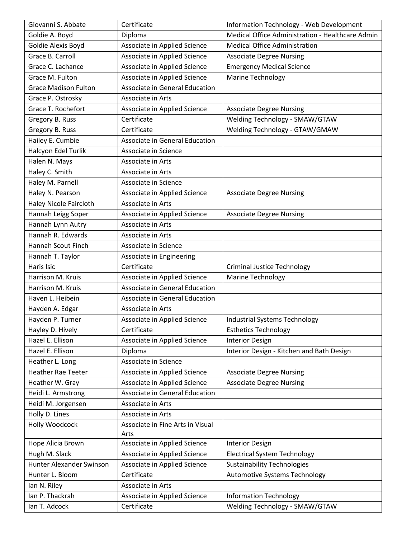| Giovanni S. Abbate          | Certificate                      | <b>Information Technology - Web Development</b>  |
|-----------------------------|----------------------------------|--------------------------------------------------|
| Goldie A. Boyd              | Diploma                          | Medical Office Administration - Healthcare Admin |
| Goldie Alexis Boyd          | Associate in Applied Science     | <b>Medical Office Administration</b>             |
| Grace B. Carroll            | Associate in Applied Science     | <b>Associate Degree Nursing</b>                  |
| Grace C. Lachance           | Associate in Applied Science     | <b>Emergency Medical Science</b>                 |
| Grace M. Fulton             | Associate in Applied Science     | <b>Marine Technology</b>                         |
| <b>Grace Madison Fulton</b> | Associate in General Education   |                                                  |
| Grace P. Ostrosky           | Associate in Arts                |                                                  |
| Grace T. Rochefort          | Associate in Applied Science     | <b>Associate Degree Nursing</b>                  |
| Gregory B. Russ             | Certificate                      | Welding Technology - SMAW/GTAW                   |
| Gregory B. Russ             | Certificate                      | Welding Technology - GTAW/GMAW                   |
| Hailey E. Cumbie            | Associate in General Education   |                                                  |
| Halcyon Edel Turlik         | Associate in Science             |                                                  |
| Halen N. Mays               | Associate in Arts                |                                                  |
| Haley C. Smith              | Associate in Arts                |                                                  |
| Haley M. Parnell            | Associate in Science             |                                                  |
| Haley N. Pearson            | Associate in Applied Science     | <b>Associate Degree Nursing</b>                  |
| Haley Nicole Faircloth      | Associate in Arts                |                                                  |
| Hannah Leigg Soper          | Associate in Applied Science     | <b>Associate Degree Nursing</b>                  |
| Hannah Lynn Autry           | Associate in Arts                |                                                  |
| Hannah R. Edwards           | Associate in Arts                |                                                  |
| Hannah Scout Finch          | Associate in Science             |                                                  |
| Hannah T. Taylor            | Associate in Engineering         |                                                  |
| Haris Isic                  | Certificate                      | <b>Criminal Justice Technology</b>               |
| Harrison M. Kruis           | Associate in Applied Science     | <b>Marine Technology</b>                         |
| Harrison M. Kruis           | Associate in General Education   |                                                  |
| Haven L. Heibein            | Associate in General Education   |                                                  |
| Hayden A. Edgar             | Associate in Arts                |                                                  |
| Hayden P. Turner            | Associate in Applied Science     | <b>Industrial Systems Technology</b>             |
| Hayley D. Hively            | Certificate                      | <b>Esthetics Technology</b>                      |
| Hazel E. Ellison            | Associate in Applied Science     | <b>Interior Design</b>                           |
| Hazel E. Ellison            | Diploma                          | Interior Design - Kitchen and Bath Design        |
| Heather L. Long             | Associate in Science             |                                                  |
| <b>Heather Rae Teeter</b>   | Associate in Applied Science     | <b>Associate Degree Nursing</b>                  |
| Heather W. Gray             | Associate in Applied Science     | <b>Associate Degree Nursing</b>                  |
| Heidi L. Armstrong          | Associate in General Education   |                                                  |
| Heidi M. Jorgensen          | Associate in Arts                |                                                  |
| Holly D. Lines              | Associate in Arts                |                                                  |
| Holly Woodcock              | Associate in Fine Arts in Visual |                                                  |
|                             | Arts                             |                                                  |
| Hope Alicia Brown           | Associate in Applied Science     | <b>Interior Design</b>                           |
| Hugh M. Slack               | Associate in Applied Science     | <b>Electrical System Technology</b>              |
| Hunter Alexander Swinson    | Associate in Applied Science     | <b>Sustainability Technologies</b>               |
| Hunter L. Bloom             | Certificate                      | Automotive Systems Technology                    |
| Ian N. Riley                | Associate in Arts                |                                                  |
| Ian P. Thackrah             | Associate in Applied Science     | <b>Information Technology</b>                    |
| Ian T. Adcock               | Certificate                      | Welding Technology - SMAW/GTAW                   |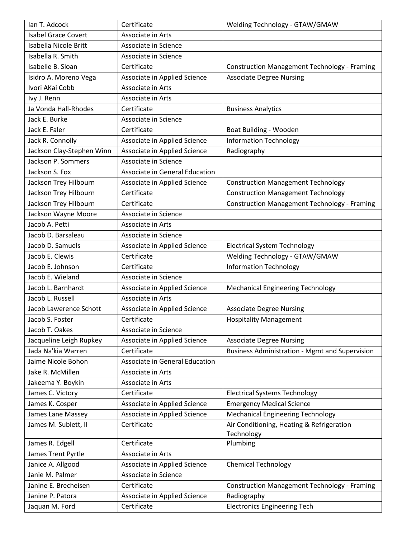| Ian T. Adcock              | Certificate                    | Welding Technology - GTAW/GMAW                        |
|----------------------------|--------------------------------|-------------------------------------------------------|
| <b>Isabel Grace Covert</b> | Associate in Arts              |                                                       |
| Isabella Nicole Britt      | Associate in Science           |                                                       |
| Isabella R. Smith          | Associate in Science           |                                                       |
| Isabelle B. Sloan          | Certificate                    | <b>Construction Management Technology - Framing</b>   |
| Isidro A. Moreno Vega      | Associate in Applied Science   | <b>Associate Degree Nursing</b>                       |
| Ivori AKai Cobb            | Associate in Arts              |                                                       |
| Ivy J. Renn                | Associate in Arts              |                                                       |
| Ja Vonda Hall-Rhodes       | Certificate                    | <b>Business Analytics</b>                             |
| Jack E. Burke              | Associate in Science           |                                                       |
| Jack E. Faler              | Certificate                    | Boat Building - Wooden                                |
| Jack R. Connolly           | Associate in Applied Science   | <b>Information Technology</b>                         |
| Jackson Clay-Stephen Winn  | Associate in Applied Science   | Radiography                                           |
| Jackson P. Sommers         | Associate in Science           |                                                       |
| Jackson S. Fox             | Associate in General Education |                                                       |
| Jackson Trey Hilbourn      | Associate in Applied Science   | <b>Construction Management Technology</b>             |
| Jackson Trey Hilbourn      | Certificate                    | <b>Construction Management Technology</b>             |
| Jackson Trey Hilbourn      | Certificate                    | <b>Construction Management Technology - Framing</b>   |
| Jackson Wayne Moore        | Associate in Science           |                                                       |
| Jacob A. Petti             | Associate in Arts              |                                                       |
| Jacob D. Barsaleau         | Associate in Science           |                                                       |
| Jacob D. Samuels           | Associate in Applied Science   | <b>Electrical System Technology</b>                   |
| Jacob E. Clewis            | Certificate                    | Welding Technology - GTAW/GMAW                        |
| Jacob E. Johnson           | Certificate                    | <b>Information Technology</b>                         |
| Jacob E. Wieland           | Associate in Science           |                                                       |
| Jacob L. Barnhardt         | Associate in Applied Science   | <b>Mechanical Engineering Technology</b>              |
| Jacob L. Russell           | Associate in Arts              |                                                       |
| Jacob Lawerence Schott     | Associate in Applied Science   | <b>Associate Degree Nursing</b>                       |
| Jacob S. Foster            | Certificate                    | <b>Hospitality Management</b>                         |
| Jacob T. Oakes             | Associate in Science           |                                                       |
| Jacqueline Leigh Rupkey    | Associate in Applied Science   | <b>Associate Degree Nursing</b>                       |
| Jada Na'kia Warren         | Certificate                    | <b>Business Administration - Mgmt and Supervision</b> |
| Jaime Nicole Bohon         | Associate in General Education |                                                       |
| Jake R. McMillen           | Associate in Arts              |                                                       |
| Jakeema Y. Boykin          | Associate in Arts              |                                                       |
| James C. Victory           | Certificate                    | <b>Electrical Systems Technology</b>                  |
| James K. Cosper            | Associate in Applied Science   | <b>Emergency Medical Science</b>                      |
| James Lane Massey          | Associate in Applied Science   | <b>Mechanical Engineering Technology</b>              |
| James M. Sublett, II       | Certificate                    | Air Conditioning, Heating & Refrigeration             |
|                            |                                | Technology                                            |
| James R. Edgell            | Certificate                    | Plumbing                                              |
| James Trent Pyrtle         | Associate in Arts              |                                                       |
| Janice A. Allgood          | Associate in Applied Science   | <b>Chemical Technology</b>                            |
| Janie M. Palmer            | Associate in Science           |                                                       |
| Janine E. Brecheisen       | Certificate                    | <b>Construction Management Technology - Framing</b>   |
| Janine P. Patora           | Associate in Applied Science   | Radiography                                           |
| Jaquan M. Ford             | Certificate                    | <b>Electronics Engineering Tech</b>                   |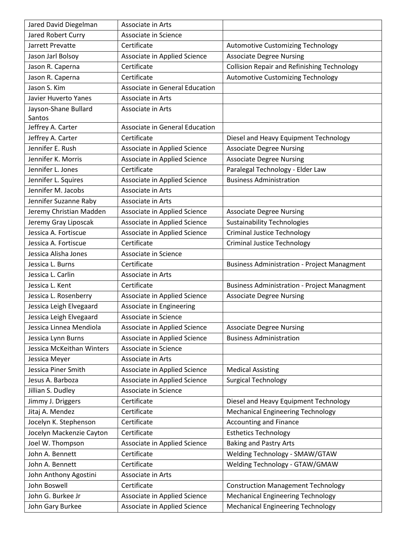| Jared David Diegelman       | Associate in Arts              |                                                    |
|-----------------------------|--------------------------------|----------------------------------------------------|
| Jared Robert Curry          | Associate in Science           |                                                    |
| Jarrett Prevatte            | Certificate                    | Automotive Customizing Technology                  |
| Jason Jarl Bolsoy           | Associate in Applied Science   | <b>Associate Degree Nursing</b>                    |
| Jason R. Caperna            | Certificate                    | <b>Collision Repair and Refinishing Technology</b> |
| Jason R. Caperna            | Certificate                    | <b>Automotive Customizing Technology</b>           |
| Jason S. Kim                | Associate in General Education |                                                    |
| <b>Javier Huverto Yanes</b> | Associate in Arts              |                                                    |
| Jayson-Shane Bullard        | Associate in Arts              |                                                    |
| Santos                      |                                |                                                    |
| Jeffrey A. Carter           | Associate in General Education |                                                    |
| Jeffrey A. Carter           | Certificate                    | Diesel and Heavy Equipment Technology              |
| Jennifer E. Rush            | Associate in Applied Science   | <b>Associate Degree Nursing</b>                    |
| Jennifer K. Morris          | Associate in Applied Science   | <b>Associate Degree Nursing</b>                    |
| Jennifer L. Jones           | Certificate                    | Paralegal Technology - Elder Law                   |
| Jennifer L. Squires         | Associate in Applied Science   | <b>Business Administration</b>                     |
| Jennifer M. Jacobs          | Associate in Arts              |                                                    |
| Jennifer Suzanne Raby       | Associate in Arts              |                                                    |
| Jeremy Christian Madden     | Associate in Applied Science   | <b>Associate Degree Nursing</b>                    |
| Jeremy Gray Liposcak        | Associate in Applied Science   | <b>Sustainability Technologies</b>                 |
| Jessica A. Fortiscue        | Associate in Applied Science   | <b>Criminal Justice Technology</b>                 |
| Jessica A. Fortiscue        | Certificate                    | <b>Criminal Justice Technology</b>                 |
| Jessica Alisha Jones        | Associate in Science           |                                                    |
| Jessica L. Burns            | Certificate                    | <b>Business Administration - Project Managment</b> |
| Jessica L. Carlin           | Associate in Arts              |                                                    |
| Jessica L. Kent             | Certificate                    | <b>Business Administration - Project Managment</b> |
| Jessica L. Rosenberry       | Associate in Applied Science   | <b>Associate Degree Nursing</b>                    |
| Jessica Leigh Elvegaard     | Associate in Engineering       |                                                    |
| Jessica Leigh Elvegaard     | Associate in Science           |                                                    |
| Jessica Linnea Mendiola     | Associate in Applied Science   | <b>Associate Degree Nursing</b>                    |
| Jessica Lynn Burns          | Associate in Applied Science   | <b>Business Administration</b>                     |
| Jessica McKeithan Winters   | Associate in Science           |                                                    |
| Jessica Meyer               | Associate in Arts              |                                                    |
| Jessica Piner Smith         | Associate in Applied Science   | <b>Medical Assisting</b>                           |
| Jesus A. Barboza            | Associate in Applied Science   | <b>Surgical Technology</b>                         |
| Jillian S. Dudley           | Associate in Science           |                                                    |
| Jimmy J. Driggers           | Certificate                    | Diesel and Heavy Equipment Technology              |
| Jitaj A. Mendez             | Certificate                    | <b>Mechanical Engineering Technology</b>           |
| Jocelyn K. Stephenson       | Certificate                    | <b>Accounting and Finance</b>                      |
| Jocelyn Mackenzie Cayton    | Certificate                    | <b>Esthetics Technology</b>                        |
| Joel W. Thompson            | Associate in Applied Science   | <b>Baking and Pastry Arts</b>                      |
| John A. Bennett             | Certificate                    | Welding Technology - SMAW/GTAW                     |
| John A. Bennett             | Certificate                    | Welding Technology - GTAW/GMAW                     |
| John Anthony Agostini       | Associate in Arts              |                                                    |
| John Boswell                | Certificate                    | <b>Construction Management Technology</b>          |
| John G. Burkee Jr           | Associate in Applied Science   | <b>Mechanical Engineering Technology</b>           |
| John Gary Burkee            | Associate in Applied Science   | <b>Mechanical Engineering Technology</b>           |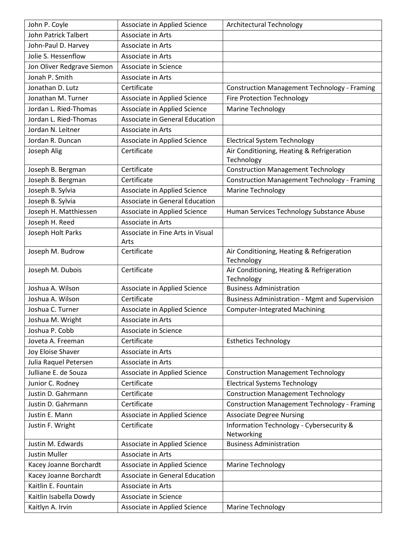| John P. Coyle              | Associate in Applied Science             | Architectural Technology                                |
|----------------------------|------------------------------------------|---------------------------------------------------------|
| John Patrick Talbert       | Associate in Arts                        |                                                         |
| John-Paul D. Harvey        | Associate in Arts                        |                                                         |
| Jolie S. Hessenflow        | Associate in Arts                        |                                                         |
| Jon Oliver Redgrave Siemon | Associate in Science                     |                                                         |
| Jonah P. Smith             | Associate in Arts                        |                                                         |
| Jonathan D. Lutz           | Certificate                              | <b>Construction Management Technology - Framing</b>     |
| Jonathan M. Turner         | Associate in Applied Science             | <b>Fire Protection Technology</b>                       |
| Jordan L. Ried-Thomas      | Associate in Applied Science             | Marine Technology                                       |
| Jordan L. Ried-Thomas      | Associate in General Education           |                                                         |
| Jordan N. Leitner          | Associate in Arts                        |                                                         |
| Jordan R. Duncan           | Associate in Applied Science             | <b>Electrical System Technology</b>                     |
| Joseph Alig                | Certificate                              | Air Conditioning, Heating & Refrigeration<br>Technology |
| Joseph B. Bergman          | Certificate                              | <b>Construction Management Technology</b>               |
| Joseph B. Bergman          | Certificate                              | <b>Construction Management Technology - Framing</b>     |
| Joseph B. Sylvia           | Associate in Applied Science             | <b>Marine Technology</b>                                |
| Joseph B. Sylvia           | Associate in General Education           |                                                         |
| Joseph H. Matthiessen      | Associate in Applied Science             | Human Services Technology Substance Abuse               |
| Joseph H. Reed             | Associate in Arts                        |                                                         |
| Joseph Holt Parks          | Associate in Fine Arts in Visual<br>Arts |                                                         |
| Joseph M. Budrow           | Certificate                              | Air Conditioning, Heating & Refrigeration<br>Technology |
| Joseph M. Dubois           | Certificate                              | Air Conditioning, Heating & Refrigeration<br>Technology |
| Joshua A. Wilson           | Associate in Applied Science             | <b>Business Administration</b>                          |
| Joshua A. Wilson           | Certificate                              | <b>Business Administration - Mgmt and Supervision</b>   |
| Joshua C. Turner           | Associate in Applied Science             | <b>Computer-Integrated Machining</b>                    |
| Joshua M. Wright           | Associate in Arts                        |                                                         |
| Joshua P. Cobb             | Associate in Science                     |                                                         |
| Joveta A. Freeman          | Certificate                              | <b>Esthetics Technology</b>                             |
| Joy Eloise Shaver          | Associate in Arts                        |                                                         |
| Julia Raquel Petersen      | Associate in Arts                        |                                                         |
| Julliane E. de Souza       | Associate in Applied Science             | <b>Construction Management Technology</b>               |
| Junior C. Rodney           | Certificate                              | <b>Electrical Systems Technology</b>                    |
| Justin D. Gahrmann         | Certificate                              | <b>Construction Management Technology</b>               |
| Justin D. Gahrmann         | Certificate                              | <b>Construction Management Technology - Framing</b>     |
| Justin E. Mann             | Associate in Applied Science             | <b>Associate Degree Nursing</b>                         |
| Justin F. Wright           | Certificate                              | Information Technology - Cybersecurity &                |
|                            |                                          | Networking                                              |
| Justin M. Edwards          | Associate in Applied Science             | <b>Business Administration</b>                          |
| <b>Justin Muller</b>       | Associate in Arts                        |                                                         |
| Kacey Joanne Borchardt     | Associate in Applied Science             | <b>Marine Technology</b>                                |
| Kacey Joanne Borchardt     |                                          |                                                         |
|                            | Associate in General Education           |                                                         |
| Kaitlin E. Fountain        | Associate in Arts                        |                                                         |
| Kaitlin Isabella Dowdy     | Associate in Science                     |                                                         |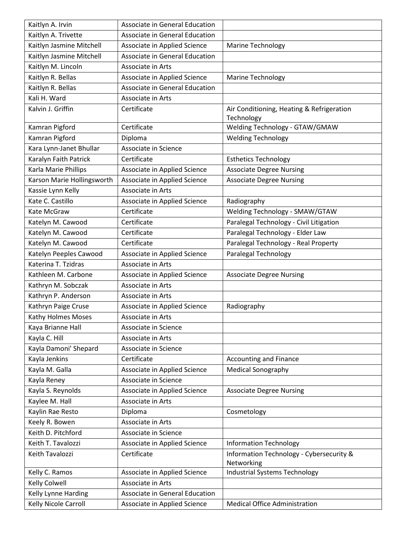| Kaitlyn A. Irvin           | Associate in General Education |                                                         |
|----------------------------|--------------------------------|---------------------------------------------------------|
| Kaitlyn A. Trivette        | Associate in General Education |                                                         |
| Kaitlyn Jasmine Mitchell   | Associate in Applied Science   | <b>Marine Technology</b>                                |
| Kaitlyn Jasmine Mitchell   | Associate in General Education |                                                         |
| Kaitlyn M. Lincoln         | Associate in Arts              |                                                         |
| Kaitlyn R. Bellas          | Associate in Applied Science   | <b>Marine Technology</b>                                |
| Kaitlyn R. Bellas          | Associate in General Education |                                                         |
| Kali H. Ward               | Associate in Arts              |                                                         |
| Kalvin J. Griffin          | Certificate                    | Air Conditioning, Heating & Refrigeration<br>Technology |
| Kamran Pigford             | Certificate                    | Welding Technology - GTAW/GMAW                          |
| Kamran Pigford             | Diploma                        | <b>Welding Technology</b>                               |
| Kara Lynn-Janet Bhullar    | Associate in Science           |                                                         |
| Karalyn Faith Patrick      | Certificate                    | <b>Esthetics Technology</b>                             |
| Karla Marie Phillips       | Associate in Applied Science   | <b>Associate Degree Nursing</b>                         |
| Karson Marie Hollingsworth | Associate in Applied Science   | <b>Associate Degree Nursing</b>                         |
| Kassie Lynn Kelly          | Associate in Arts              |                                                         |
| Kate C. Castillo           | Associate in Applied Science   | Radiography                                             |
| Kate McGraw                | Certificate                    | Welding Technology - SMAW/GTAW                          |
| Katelyn M. Cawood          | Certificate                    | Paralegal Technology - Civil Litigation                 |
| Katelyn M. Cawood          | Certificate                    | Paralegal Technology - Elder Law                        |
| Katelyn M. Cawood          | Certificate                    | Paralegal Technology - Real Property                    |
| Katelyn Peeples Cawood     | Associate in Applied Science   | Paralegal Technology                                    |
| Katerina T. Tzidras        | Associate in Arts              |                                                         |
| Kathleen M. Carbone        | Associate in Applied Science   | <b>Associate Degree Nursing</b>                         |
| Kathryn M. Sobczak         | Associate in Arts              |                                                         |
| Kathryn P. Anderson        | Associate in Arts              |                                                         |
| Kathryn Paige Cruse        | Associate in Applied Science   | Radiography                                             |
| Kathy Holmes Moses         | Associate in Arts              |                                                         |
| Kaya Brianne Hall          | Associate in Science           |                                                         |
| Kayla C. Hill              | Associate in Arts              |                                                         |
| Kayla Damoni' Shepard      | Associate in Science           |                                                         |
| Kayla Jenkins              | Certificate                    | <b>Accounting and Finance</b>                           |
| Kayla M. Galla             | Associate in Applied Science   | <b>Medical Sonography</b>                               |
| Kayla Reney                | Associate in Science           |                                                         |
| Kayla S. Reynolds          | Associate in Applied Science   | <b>Associate Degree Nursing</b>                         |
| Kaylee M. Hall             | Associate in Arts              |                                                         |
| Kaylin Rae Resto           | Diploma                        | Cosmetology                                             |
| Keely R. Bowen             | Associate in Arts              |                                                         |
| Keith D. Pitchford         | Associate in Science           |                                                         |
| Keith T. Tavalozzi         | Associate in Applied Science   | <b>Information Technology</b>                           |
| Keith Tavalozzi            | Certificate                    | Information Technology - Cybersecurity &<br>Networking  |
| Kelly C. Ramos             | Associate in Applied Science   | Industrial Systems Technology                           |
| Kelly Colwell              | Associate in Arts              |                                                         |
| Kelly Lynne Harding        | Associate in General Education |                                                         |
| Kelly Nicole Carroll       | Associate in Applied Science   | <b>Medical Office Administration</b>                    |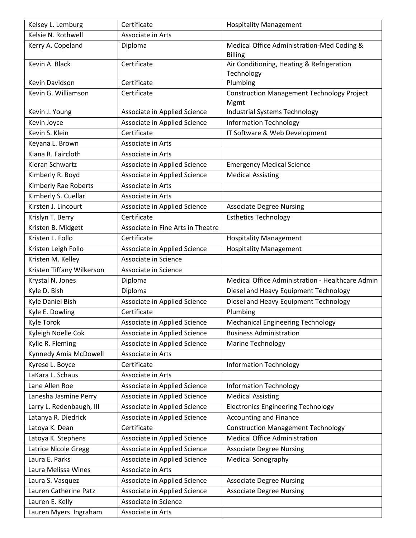| Kelsey L. Lemburg         | Certificate                       | <b>Hospitality Management</b>                                |
|---------------------------|-----------------------------------|--------------------------------------------------------------|
| Kelsie N. Rothwell        | Associate in Arts                 |                                                              |
| Kerry A. Copeland         | Diploma                           | Medical Office Administration-Med Coding &<br><b>Billing</b> |
| Kevin A. Black            | Certificate                       | Air Conditioning, Heating & Refrigeration<br>Technology      |
| Kevin Davidson            | Certificate                       | Plumbing                                                     |
| Kevin G. Williamson       | Certificate                       | <b>Construction Management Technology Project</b><br>Mgmt    |
| Kevin J. Young            | Associate in Applied Science      | <b>Industrial Systems Technology</b>                         |
| Kevin Joyce               | Associate in Applied Science      | <b>Information Technology</b>                                |
| Kevin S. Klein            | Certificate                       | IT Software & Web Development                                |
| Keyana L. Brown           | Associate in Arts                 |                                                              |
| Kiana R. Faircloth        | Associate in Arts                 |                                                              |
| Kieran Schwartz           | Associate in Applied Science      | <b>Emergency Medical Science</b>                             |
| Kimberly R. Boyd          | Associate in Applied Science      | <b>Medical Assisting</b>                                     |
| Kimberly Rae Roberts      | Associate in Arts                 |                                                              |
| Kimberly S. Cuellar       | Associate in Arts                 |                                                              |
| Kirsten J. Lincourt       | Associate in Applied Science      | <b>Associate Degree Nursing</b>                              |
| Krislyn T. Berry          | Certificate                       | <b>Esthetics Technology</b>                                  |
| Kristen B. Midgett        | Associate in Fine Arts in Theatre |                                                              |
| Kristen L. Follo          | Certificate                       | <b>Hospitality Management</b>                                |
| Kristen Leigh Follo       | Associate in Applied Science      | <b>Hospitality Management</b>                                |
| Kristen M. Kelley         | Associate in Science              |                                                              |
| Kristen Tiffany Wilkerson | Associate in Science              |                                                              |
| Krystal N. Jones          | Diploma                           | Medical Office Administration - Healthcare Admin             |
| Kyle D. Bish              | Diploma                           | Diesel and Heavy Equipment Technology                        |
| Kyle Daniel Bish          | Associate in Applied Science      | Diesel and Heavy Equipment Technology                        |
| Kyle E. Dowling           | Certificate                       | Plumbing                                                     |
| Kyle Torok                | Associate in Applied Science      | <b>Mechanical Engineering Technology</b>                     |
| Kyleigh Noelle Cok        | Associate in Applied Science      | <b>Business Administration</b>                               |
| Kylie R. Fleming          | Associate in Applied Science      | <b>Marine Technology</b>                                     |
| Kynnedy Amia McDowell     | Associate in Arts                 |                                                              |
| Kyrese L. Boyce           | Certificate                       | <b>Information Technology</b>                                |
| LaKara L. Schaus          | Associate in Arts                 |                                                              |
| Lane Allen Roe            | Associate in Applied Science      | <b>Information Technology</b>                                |
| Lanesha Jasmine Perry     | Associate in Applied Science      | <b>Medical Assisting</b>                                     |
| Larry L. Redenbaugh, III  | Associate in Applied Science      | <b>Electronics Engineering Technology</b>                    |
| Latanya R. Diedrick       | Associate in Applied Science      | <b>Accounting and Finance</b>                                |
| Latoya K. Dean            | Certificate                       | <b>Construction Management Technology</b>                    |
| Latoya K. Stephens        | Associate in Applied Science      | <b>Medical Office Administration</b>                         |
| Latrice Nicole Gregg      | Associate in Applied Science      | <b>Associate Degree Nursing</b>                              |
| Laura E. Parks            | Associate in Applied Science      | <b>Medical Sonography</b>                                    |
| Laura Melissa Wines       | Associate in Arts                 |                                                              |
| Laura S. Vasquez          | Associate in Applied Science      | <b>Associate Degree Nursing</b>                              |
| Lauren Catherine Patz     | Associate in Applied Science      | <b>Associate Degree Nursing</b>                              |
| Lauren E. Kelly           | Associate in Science              |                                                              |
| Lauren Myers Ingraham     | Associate in Arts                 |                                                              |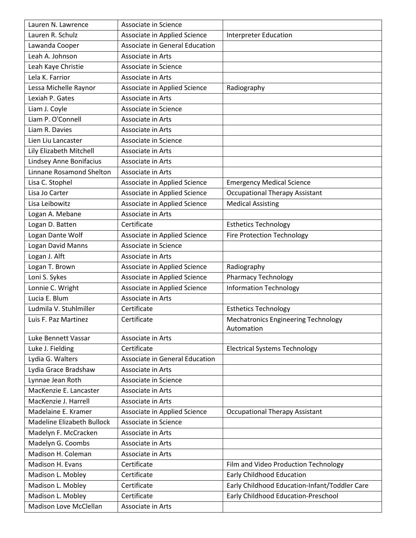| Lauren N. Lawrence                | Associate in Science           |                                                          |
|-----------------------------------|--------------------------------|----------------------------------------------------------|
| Lauren R. Schulz                  | Associate in Applied Science   | <b>Interpreter Education</b>                             |
| Lawanda Cooper                    | Associate in General Education |                                                          |
| Leah A. Johnson                   | Associate in Arts              |                                                          |
| Leah Kaye Christie                | Associate in Science           |                                                          |
| Lela K. Farrior                   | Associate in Arts              |                                                          |
| Lessa Michelle Raynor             | Associate in Applied Science   | Radiography                                              |
| Lexiah P. Gates                   | Associate in Arts              |                                                          |
| Liam J. Coyle                     | Associate in Science           |                                                          |
| Liam P. O'Connell                 | Associate in Arts              |                                                          |
| Liam R. Davies                    | Associate in Arts              |                                                          |
| Lien Liu Lancaster                | Associate in Science           |                                                          |
| Lily Elizabeth Mitchell           | Associate in Arts              |                                                          |
| Lindsey Anne Bonifacius           | Associate in Arts              |                                                          |
| Linnane Rosamond Shelton          | Associate in Arts              |                                                          |
| Lisa C. Stophel                   | Associate in Applied Science   | <b>Emergency Medical Science</b>                         |
| Lisa Jo Carter                    | Associate in Applied Science   | <b>Occupational Therapy Assistant</b>                    |
| Lisa Leibowitz                    | Associate in Applied Science   | <b>Medical Assisting</b>                                 |
| Logan A. Mebane                   | Associate in Arts              |                                                          |
| Logan D. Batten                   | Certificate                    | <b>Esthetics Technology</b>                              |
| Logan Dante Wolf                  | Associate in Applied Science   | <b>Fire Protection Technology</b>                        |
| Logan David Manns                 | Associate in Science           |                                                          |
| Logan J. Alft                     | Associate in Arts              |                                                          |
| Logan T. Brown                    | Associate in Applied Science   | Radiography                                              |
| Loni S. Sykes                     | Associate in Applied Science   | <b>Pharmacy Technology</b>                               |
| Lonnie C. Wright                  | Associate in Applied Science   | <b>Information Technology</b>                            |
| Lucia E. Blum                     | Associate in Arts              |                                                          |
| Ludmila V. Stuhlmiller            | Certificate                    | <b>Esthetics Technology</b>                              |
| Luis F. Paz Martinez              | Certificate                    | <b>Mechatronics Engineering Technology</b><br>Automation |
| Luke Bennett Vassar               | Associate in Arts              |                                                          |
| Luke J. Fielding                  | Certificate                    | <b>Electrical Systems Technology</b>                     |
| Lydia G. Walters                  | Associate in General Education |                                                          |
| Lydia Grace Bradshaw              | Associate in Arts              |                                                          |
| Lynnae Jean Roth                  | Associate in Science           |                                                          |
| MacKenzie E. Lancaster            | Associate in Arts              |                                                          |
| MacKenzie J. Harrell              | Associate in Arts              |                                                          |
| Madelaine E. Kramer               | Associate in Applied Science   | <b>Occupational Therapy Assistant</b>                    |
| <b>Madeline Elizabeth Bullock</b> | Associate in Science           |                                                          |
| Madelyn F. McCracken              | Associate in Arts              |                                                          |
| Madelyn G. Coombs                 | Associate in Arts              |                                                          |
| Madison H. Coleman                | Associate in Arts              |                                                          |
| Madison H. Evans                  | Certificate                    | Film and Video Production Technology                     |
| Madison L. Mobley                 | Certificate                    | <b>Early Childhood Education</b>                         |
| Madison L. Mobley                 | Certificate                    | Early Childhood Education-Infant/Toddler Care            |
| Madison L. Mobley                 | Certificate                    | Early Childhood Education-Preschool                      |
| Madison Love McClellan            | Associate in Arts              |                                                          |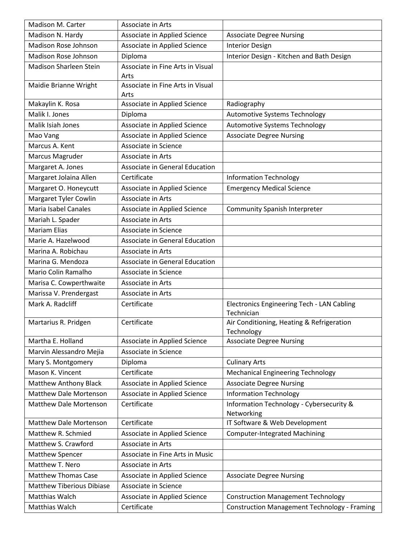| Madison M. Carter                | Associate in Arts                        |                                                         |
|----------------------------------|------------------------------------------|---------------------------------------------------------|
| Madison N. Hardy                 | Associate in Applied Science             | <b>Associate Degree Nursing</b>                         |
| Madison Rose Johnson             | Associate in Applied Science             | <b>Interior Design</b>                                  |
| Madison Rose Johnson             | Diploma                                  | Interior Design - Kitchen and Bath Design               |
| <b>Madison Sharleen Stein</b>    | Associate in Fine Arts in Visual         |                                                         |
|                                  | Arts                                     |                                                         |
| Maidie Brianne Wright            | Associate in Fine Arts in Visual<br>Arts |                                                         |
| Makaylin K. Rosa                 | Associate in Applied Science             | Radiography                                             |
| Malik I. Jones                   | Diploma                                  | Automotive Systems Technology                           |
| Malik Isiah Jones                | Associate in Applied Science             | Automotive Systems Technology                           |
| Mao Vang                         | Associate in Applied Science             | <b>Associate Degree Nursing</b>                         |
| Marcus A. Kent                   | Associate in Science                     |                                                         |
| Marcus Magruder                  | Associate in Arts                        |                                                         |
| Margaret A. Jones                | Associate in General Education           |                                                         |
| Margaret Jolaina Allen           | Certificate                              | <b>Information Technology</b>                           |
| Margaret O. Honeycutt            | Associate in Applied Science             | <b>Emergency Medical Science</b>                        |
| Margaret Tyler Cowlin            | Associate in Arts                        |                                                         |
| Maria Isabel Canales             | Associate in Applied Science             | <b>Community Spanish Interpreter</b>                    |
| Mariah L. Spader                 | Associate in Arts                        |                                                         |
| <b>Mariam Elias</b>              | Associate in Science                     |                                                         |
| Marie A. Hazelwood               | Associate in General Education           |                                                         |
| Marina A. Robichau               | Associate in Arts                        |                                                         |
| Marina G. Mendoza                | Associate in General Education           |                                                         |
| Mario Colin Ramalho              | Associate in Science                     |                                                         |
| Marisa C. Cowperthwaite          | Associate in Arts                        |                                                         |
| Marissa V. Prendergast           | Associate in Arts                        |                                                         |
| Mark A. Radcliff                 | Certificate                              | Electronics Engineering Tech - LAN Cabling              |
|                                  |                                          | Technician                                              |
| Martarius R. Pridgen             | Certificate                              | Air Conditioning, Heating & Refrigeration<br>Technology |
| Martha E. Holland                | Associate in Applied Science             | <b>Associate Degree Nursing</b>                         |
| Marvin Alessandro Mejia          | Associate in Science                     |                                                         |
| Mary S. Montgomery               | Diploma                                  | <b>Culinary Arts</b>                                    |
| Mason K. Vincent                 | Certificate                              | <b>Mechanical Engineering Technology</b>                |
| Matthew Anthony Black            | Associate in Applied Science             | <b>Associate Degree Nursing</b>                         |
| <b>Matthew Dale Mortenson</b>    | Associate in Applied Science             | <b>Information Technology</b>                           |
| <b>Matthew Dale Mortenson</b>    | Certificate                              | Information Technology - Cybersecurity &<br>Networking  |
| <b>Matthew Dale Mortenson</b>    | Certificate                              | IT Software & Web Development                           |
| Matthew R. Schmied               | Associate in Applied Science             | <b>Computer-Integrated Machining</b>                    |
| Matthew S. Crawford              | Associate in Arts                        |                                                         |
| <b>Matthew Spencer</b>           | Associate in Fine Arts in Music          |                                                         |
| Matthew T. Nero                  | Associate in Arts                        |                                                         |
| <b>Matthew Thomas Case</b>       | Associate in Applied Science             | <b>Associate Degree Nursing</b>                         |
| <b>Matthew Tiberious Dibiase</b> | Associate in Science                     |                                                         |
| Matthias Walch                   | Associate in Applied Science             | <b>Construction Management Technology</b>               |
| Matthias Walch                   | Certificate                              | <b>Construction Management Technology - Framing</b>     |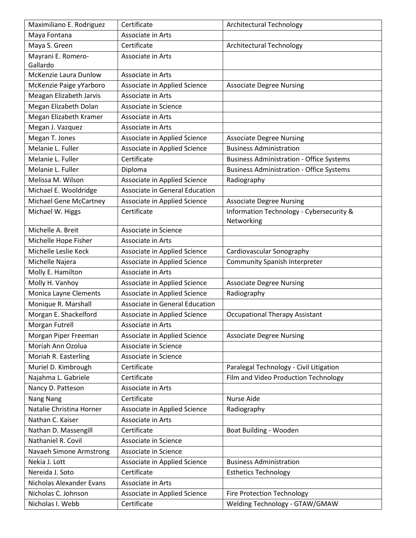| Maximiliano E. Rodriguez | Certificate                    | <b>Architectural Technology</b>                        |
|--------------------------|--------------------------------|--------------------------------------------------------|
| Maya Fontana             | Associate in Arts              |                                                        |
| Maya S. Green            | Certificate                    | <b>Architectural Technology</b>                        |
| Mayrani E. Romero-       | Associate in Arts              |                                                        |
| Gallardo                 |                                |                                                        |
| McKenzie Laura Dunlow    | Associate in Arts              |                                                        |
| McKenzie Paige yYarboro  | Associate in Applied Science   | <b>Associate Degree Nursing</b>                        |
| Meagan Elizabeth Jarvis  | Associate in Arts              |                                                        |
| Megan Elizabeth Dolan    | Associate in Science           |                                                        |
| Megan Elizabeth Kramer   | Associate in Arts              |                                                        |
| Megan J. Vazquez         | Associate in Arts              |                                                        |
| Megan T. Jones           | Associate in Applied Science   | <b>Associate Degree Nursing</b>                        |
| Melanie L. Fuller        | Associate in Applied Science   | <b>Business Administration</b>                         |
| Melanie L. Fuller        | Certificate                    | <b>Business Administration - Office Systems</b>        |
| Melanie L. Fuller        | Diploma                        | <b>Business Administration - Office Systems</b>        |
| Melissa M. Wilson        | Associate in Applied Science   | Radiography                                            |
| Michael E. Wooldridge    | Associate in General Education |                                                        |
| Michael Gene McCartney   | Associate in Applied Science   | <b>Associate Degree Nursing</b>                        |
| Michael W. Higgs         | Certificate                    | Information Technology - Cybersecurity &<br>Networking |
| Michelle A. Breit        | Associate in Science           |                                                        |
| Michelle Hope Fisher     | Associate in Arts              |                                                        |
| Michelle Leslie Keck     | Associate in Applied Science   | Cardiovascular Sonography                              |
| Michelle Najera          | Associate in Applied Science   | <b>Community Spanish Interpreter</b>                   |
| Molly E. Hamilton        | Associate in Arts              |                                                        |
| Molly H. Vanhoy          | Associate in Applied Science   | <b>Associate Degree Nursing</b>                        |
| Monica Layne Clements    | Associate in Applied Science   | Radiography                                            |
| Monique R. Marshall      | Associate in General Education |                                                        |
| Morgan E. Shackelford    | Associate in Applied Science   | <b>Occupational Therapy Assistant</b>                  |
| Morgan Futrell           | Associate in Arts              |                                                        |
| Morgan Piper Freeman     | Associate in Applied Science   | <b>Associate Degree Nursing</b>                        |
| Moriah Ann Ozolua        | Associate in Science           |                                                        |
| Moriah R. Easterling     | Associate in Science           |                                                        |
| Muriel D. Kimbrough      | Certificate                    | Paralegal Technology - Civil Litigation                |
| Najahma L. Gabriele      | Certificate                    | Film and Video Production Technology                   |
| Nancy D. Patteson        | Associate in Arts              |                                                        |
| Nang Nang                | Certificate                    | <b>Nurse Aide</b>                                      |
| Natalie Christina Horner | Associate in Applied Science   | Radiography                                            |
| Nathan C. Kaiser         | Associate in Arts              |                                                        |
| Nathan D. Massengill     | Certificate                    | Boat Building - Wooden                                 |
| Nathaniel R. Covil       | Associate in Science           |                                                        |
| Navaeh Simone Armstrong  | Associate in Science           |                                                        |
| Nekia J. Lott            | Associate in Applied Science   | <b>Business Administration</b>                         |
| Nereida J. Soto          | Certificate                    | <b>Esthetics Technology</b>                            |
| Nicholas Alexander Evans | Associate in Arts              |                                                        |
| Nicholas C. Johnson      | Associate in Applied Science   | <b>Fire Protection Technology</b>                      |
| Nicholas I. Webb         | Certificate                    | Welding Technology - GTAW/GMAW                         |
|                          |                                |                                                        |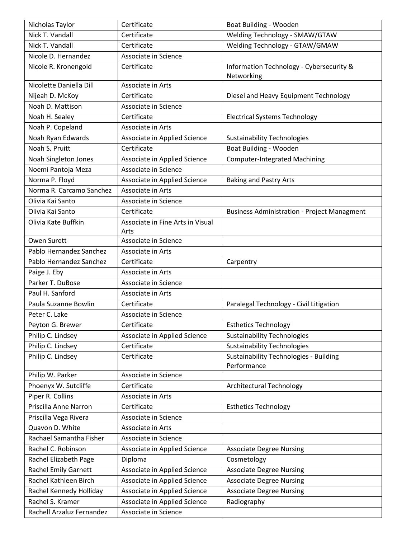| Nicholas Taylor             | Certificate                      | Boat Building - Wooden                                       |
|-----------------------------|----------------------------------|--------------------------------------------------------------|
| Nick T. Vandall             | Certificate                      | Welding Technology - SMAW/GTAW                               |
| Nick T. Vandall             | Certificate                      | Welding Technology - GTAW/GMAW                               |
| Nicole D. Hernandez         | Associate in Science             |                                                              |
| Nicole R. Kronengold        | Certificate                      | Information Technology - Cybersecurity &<br>Networking       |
| Nicolette Daniella Dill     | Associate in Arts                |                                                              |
| Nijeah D. McKoy             | Certificate                      | Diesel and Heavy Equipment Technology                        |
| Noah D. Mattison            | Associate in Science             |                                                              |
| Noah H. Sealey              | Certificate                      | <b>Electrical Systems Technology</b>                         |
| Noah P. Copeland            | Associate in Arts                |                                                              |
| Noah Ryan Edwards           | Associate in Applied Science     | <b>Sustainability Technologies</b>                           |
| Noah S. Pruitt              | Certificate                      | Boat Building - Wooden                                       |
| Noah Singleton Jones        | Associate in Applied Science     | <b>Computer-Integrated Machining</b>                         |
| Noemi Pantoja Meza          | Associate in Science             |                                                              |
| Norma P. Floyd              | Associate in Applied Science     | <b>Baking and Pastry Arts</b>                                |
| Norma R. Carcamo Sanchez    | Associate in Arts                |                                                              |
| Olivia Kai Santo            | Associate in Science             |                                                              |
| Olivia Kai Santo            | Certificate                      | <b>Business Administration - Project Managment</b>           |
| Olivia Kate Buffkin         | Associate in Fine Arts in Visual |                                                              |
|                             | Arts                             |                                                              |
| Owen Surett                 | Associate in Science             |                                                              |
| Pablo Hernandez Sanchez     | Associate in Arts                |                                                              |
| Pablo Hernandez Sanchez     | Certificate                      | Carpentry                                                    |
| Paige J. Eby                | Associate in Arts                |                                                              |
| Parker T. DuBose            | Associate in Science             |                                                              |
| Paul H. Sanford             | Associate in Arts                |                                                              |
| Paula Suzanne Bowlin        | Certificate                      | Paralegal Technology - Civil Litigation                      |
| Peter C. Lake               | Associate in Science             |                                                              |
| Peyton G. Brewer            | Certificate                      | <b>Esthetics Technology</b>                                  |
| Philip C. Lindsey           | Associate in Applied Science     | <b>Sustainability Technologies</b>                           |
| Philip C. Lindsey           | Certificate                      | <b>Sustainability Technologies</b>                           |
| Philip C. Lindsey           | Certificate                      | <b>Sustainability Technologies - Building</b><br>Performance |
| Philip W. Parker            | Associate in Science             |                                                              |
| Phoenyx W. Sutcliffe        | Certificate                      | Architectural Technology                                     |
| Piper R. Collins            | Associate in Arts                |                                                              |
| Priscilla Anne Narron       | Certificate                      | <b>Esthetics Technology</b>                                  |
| Priscilla Vega Rivera       | Associate in Science             |                                                              |
| Quavon D. White             | Associate in Arts                |                                                              |
| Rachael Samantha Fisher     | Associate in Science             |                                                              |
| Rachel C. Robinson          | Associate in Applied Science     | <b>Associate Degree Nursing</b>                              |
| Rachel Elizabeth Page       | Diploma                          | Cosmetology                                                  |
| <b>Rachel Emily Garnett</b> | Associate in Applied Science     | <b>Associate Degree Nursing</b>                              |
| Rachel Kathleen Birch       | Associate in Applied Science     | <b>Associate Degree Nursing</b>                              |
| Rachel Kennedy Holliday     | Associate in Applied Science     | <b>Associate Degree Nursing</b>                              |
| Rachel S. Kramer            | Associate in Applied Science     | Radiography                                                  |
| Rachell Arzaluz Fernandez   | Associate in Science             |                                                              |
|                             |                                  |                                                              |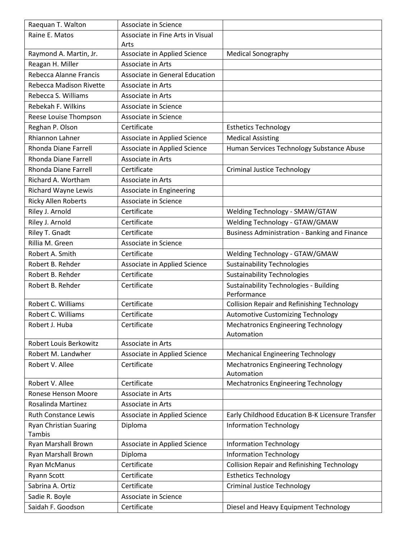| Raequan T. Walton             | Associate in Science             |                                                              |
|-------------------------------|----------------------------------|--------------------------------------------------------------|
| Raine E. Matos                | Associate in Fine Arts in Visual |                                                              |
|                               | Arts                             |                                                              |
| Raymond A. Martin, Jr.        | Associate in Applied Science     | <b>Medical Sonography</b>                                    |
| Reagan H. Miller              | Associate in Arts                |                                                              |
| Rebecca Alanne Francis        | Associate in General Education   |                                                              |
| Rebecca Madison Rivette       | Associate in Arts                |                                                              |
| Rebecca S. Williams           | Associate in Arts                |                                                              |
| Rebekah F. Wilkins            | Associate in Science             |                                                              |
| Reese Louise Thompson         | Associate in Science             |                                                              |
| Reghan P. Olson               | Certificate                      | <b>Esthetics Technology</b>                                  |
| Rhiannon Lahner               | Associate in Applied Science     | <b>Medical Assisting</b>                                     |
| Rhonda Diane Farrell          | Associate in Applied Science     | Human Services Technology Substance Abuse                    |
| Rhonda Diane Farrell          | Associate in Arts                |                                                              |
| Rhonda Diane Farrell          | Certificate                      | <b>Criminal Justice Technology</b>                           |
| Richard A. Wortham            | Associate in Arts                |                                                              |
| Richard Wayne Lewis           | Associate in Engineering         |                                                              |
| <b>Ricky Allen Roberts</b>    | Associate in Science             |                                                              |
| Riley J. Arnold               | Certificate                      | Welding Technology - SMAW/GTAW                               |
| Riley J. Arnold               | Certificate                      | Welding Technology - GTAW/GMAW                               |
| Riley T. Gnadt                | Certificate                      | Business Administration - Banking and Finance                |
| Rillia M. Green               | Associate in Science             |                                                              |
| Robert A. Smith               | Certificate                      | Welding Technology - GTAW/GMAW                               |
| Robert B. Rehder              | Associate in Applied Science     | <b>Sustainability Technologies</b>                           |
| Robert B. Rehder              | Certificate                      | <b>Sustainability Technologies</b>                           |
| Robert B. Rehder              | Certificate                      | <b>Sustainability Technologies - Building</b><br>Performance |
| Robert C. Williams            | Certificate                      | <b>Collision Repair and Refinishing Technology</b>           |
| Robert C. Williams            | Certificate                      | <b>Automotive Customizing Technology</b>                     |
| Robert J. Huba                | Certificate                      | <b>Mechatronics Engineering Technology</b>                   |
|                               |                                  | Automation                                                   |
| Robert Louis Berkowitz        | Associate in Arts                |                                                              |
| Robert M. Landwher            | Associate in Applied Science     | <b>Mechanical Engineering Technology</b>                     |
| Robert V. Allee               | Certificate                      | <b>Mechatronics Engineering Technology</b><br>Automation     |
| Robert V. Allee               | Certificate                      | <b>Mechatronics Engineering Technology</b>                   |
| <b>Ronese Henson Moore</b>    | Associate in Arts                |                                                              |
| Rosalinda Martinez            | Associate in Arts                |                                                              |
| <b>Ruth Constance Lewis</b>   | Associate in Applied Science     | Early Childhood Education B-K Licensure Transfer             |
| <b>Ryan Christian Suaring</b> | Diploma                          | <b>Information Technology</b>                                |
| Tambis                        |                                  |                                                              |
| Ryan Marshall Brown           | Associate in Applied Science     | <b>Information Technology</b>                                |
| Ryan Marshall Brown           | Diploma                          | <b>Information Technology</b>                                |
| <b>Ryan McManus</b>           | Certificate                      | <b>Collision Repair and Refinishing Technology</b>           |
| <b>Ryann Scott</b>            | Certificate                      | <b>Esthetics Technology</b>                                  |
| Sabrina A. Ortiz              | Certificate                      | <b>Criminal Justice Technology</b>                           |
| Sadie R. Boyle                | Associate in Science             |                                                              |
| Saidah F. Goodson             | Certificate                      | Diesel and Heavy Equipment Technology                        |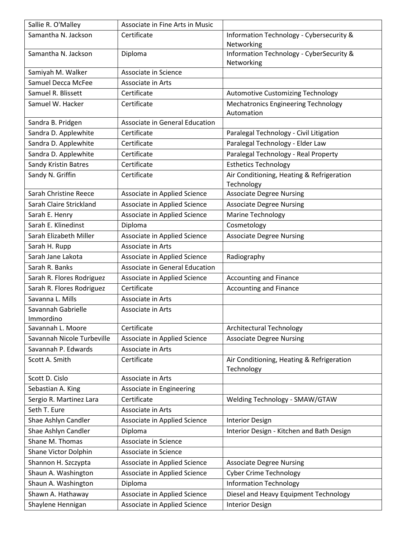| Sallie R. O'Malley         | Associate in Fine Arts in Music |                                                          |
|----------------------------|---------------------------------|----------------------------------------------------------|
| Samantha N. Jackson        | Certificate                     | Information Technology - Cybersecurity &                 |
|                            |                                 | Networking                                               |
| Samantha N. Jackson        | Diploma                         | Information Technology - CyberSecurity &                 |
|                            |                                 | Networking                                               |
| Samiyah M. Walker          | Associate in Science            |                                                          |
| Samuel Decca McFee         | Associate in Arts               |                                                          |
| Samuel R. Blissett         | Certificate                     | Automotive Customizing Technology                        |
| Samuel W. Hacker           | Certificate                     | <b>Mechatronics Engineering Technology</b><br>Automation |
| Sandra B. Pridgen          | Associate in General Education  |                                                          |
| Sandra D. Applewhite       | Certificate                     | Paralegal Technology - Civil Litigation                  |
| Sandra D. Applewhite       | Certificate                     | Paralegal Technology - Elder Law                         |
| Sandra D. Applewhite       | Certificate                     | Paralegal Technology - Real Property                     |
| Sandy Kristin Batres       | Certificate                     | <b>Esthetics Technology</b>                              |
| Sandy N. Griffin           | Certificate                     | Air Conditioning, Heating & Refrigeration                |
|                            |                                 | Technology                                               |
| Sarah Christine Reece      | Associate in Applied Science    | <b>Associate Degree Nursing</b>                          |
| Sarah Claire Strickland    | Associate in Applied Science    | <b>Associate Degree Nursing</b>                          |
| Sarah E. Henry             | Associate in Applied Science    | <b>Marine Technology</b>                                 |
| Sarah E. Klinedinst        | Diploma                         | Cosmetology                                              |
| Sarah Elizabeth Miller     | Associate in Applied Science    | <b>Associate Degree Nursing</b>                          |
| Sarah H. Rupp              | Associate in Arts               |                                                          |
| Sarah Jane Lakota          | Associate in Applied Science    | Radiography                                              |
| Sarah R. Banks             | Associate in General Education  |                                                          |
| Sarah R. Flores Rodriguez  | Associate in Applied Science    | <b>Accounting and Finance</b>                            |
| Sarah R. Flores Rodriguez  | Certificate                     | <b>Accounting and Finance</b>                            |
| Savanna L. Mills           | Associate in Arts               |                                                          |
| Savannah Gabrielle         | Associate in Arts               |                                                          |
| Immordino                  |                                 |                                                          |
| Savannah L. Moore          | Certificate                     | <b>Architectural Technology</b>                          |
| Savannah Nicole Turbeville | Associate in Applied Science    | <b>Associate Degree Nursing</b>                          |
| Savannah P. Edwards        | Associate in Arts               |                                                          |
| Scott A. Smith             | Certificate                     | Air Conditioning, Heating & Refrigeration<br>Technology  |
| Scott D. Cislo             | Associate in Arts               |                                                          |
| Sebastian A. King          | Associate in Engineering        |                                                          |
| Sergio R. Martinez Lara    | Certificate                     | Welding Technology - SMAW/GTAW                           |
| Seth T. Eure               | Associate in Arts               |                                                          |
| Shae Ashlyn Candler        | Associate in Applied Science    | <b>Interior Design</b>                                   |
| Shae Ashlyn Candler        | Diploma                         | Interior Design - Kitchen and Bath Design                |
| Shane M. Thomas            | Associate in Science            |                                                          |
| Shane Victor Dolphin       | Associate in Science            |                                                          |
| Shannon H. Szczypta        | Associate in Applied Science    | <b>Associate Degree Nursing</b>                          |
| Shaun A. Washington        | Associate in Applied Science    | <b>Cyber Crime Technology</b>                            |
| Shaun A. Washington        | Diploma                         | <b>Information Technology</b>                            |
| Shawn A. Hathaway          | Associate in Applied Science    | Diesel and Heavy Equipment Technology                    |
| Shaylene Hennigan          | Associate in Applied Science    | <b>Interior Design</b>                                   |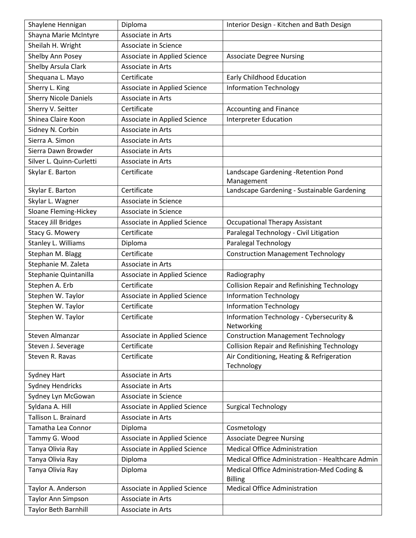| Shaylene Hennigan            | Diploma                      | Interior Design - Kitchen and Bath Design               |
|------------------------------|------------------------------|---------------------------------------------------------|
| Shayna Marie McIntyre        | Associate in Arts            |                                                         |
| Sheilah H. Wright            | Associate in Science         |                                                         |
| Shelby Ann Posey             | Associate in Applied Science | <b>Associate Degree Nursing</b>                         |
| Shelby Arsula Clark          | Associate in Arts            |                                                         |
| Shequana L. Mayo             | Certificate                  | Early Childhood Education                               |
| Sherry L. King               | Associate in Applied Science | <b>Information Technology</b>                           |
| <b>Sherry Nicole Daniels</b> | Associate in Arts            |                                                         |
| Sherry V. Seitter            | Certificate                  | Accounting and Finance                                  |
| Shinea Claire Koon           | Associate in Applied Science | <b>Interpreter Education</b>                            |
| Sidney N. Corbin             | Associate in Arts            |                                                         |
| Sierra A. Simon              | Associate in Arts            |                                                         |
| Sierra Dawn Browder          | Associate in Arts            |                                                         |
| Silver L. Quinn-Curletti     | Associate in Arts            |                                                         |
| Skylar E. Barton             | Certificate                  | Landscape Gardening - Retention Pond<br>Management      |
| Skylar E. Barton             | Certificate                  | Landscape Gardening - Sustainable Gardening             |
| Skylar L. Wagner             | Associate in Science         |                                                         |
| Sloane Fleming-Hickey        | Associate in Science         |                                                         |
| <b>Stacey Jill Bridges</b>   | Associate in Applied Science | <b>Occupational Therapy Assistant</b>                   |
| Stacy G. Mowery              | Certificate                  | Paralegal Technology - Civil Litigation                 |
| Stanley L. Williams          | Diploma                      | Paralegal Technology                                    |
| Stephan M. Blagg             | Certificate                  | <b>Construction Management Technology</b>               |
| Stephanie M. Zaleta          | Associate in Arts            |                                                         |
| Stephanie Quintanilla        | Associate in Applied Science | Radiography                                             |
| Stephen A. Erb               | Certificate                  | <b>Collision Repair and Refinishing Technology</b>      |
| Stephen W. Taylor            | Associate in Applied Science | <b>Information Technology</b>                           |
| Stephen W. Taylor            | Certificate                  | <b>Information Technology</b>                           |
| Stephen W. Taylor            | Certificate                  | Information Technology - Cybersecurity &<br>Networking  |
| Steven Almanzar              | Associate in Applied Science | <b>Construction Management Technology</b>               |
| Steven J. Severage           | Certificate                  | <b>Collision Repair and Refinishing Technology</b>      |
| Steven R. Ravas              | Certificate                  | Air Conditioning, Heating & Refrigeration<br>Technology |
| Sydney Hart                  | Associate in Arts            |                                                         |
| <b>Sydney Hendricks</b>      | Associate in Arts            |                                                         |
| Sydney Lyn McGowan           | Associate in Science         |                                                         |
| Syldana A. Hill              | Associate in Applied Science | <b>Surgical Technology</b>                              |
| Tallison L. Brainard         | Associate in Arts            |                                                         |
| Tamatha Lea Connor           | Diploma                      | Cosmetology                                             |
| Tammy G. Wood                | Associate in Applied Science | <b>Associate Degree Nursing</b>                         |
| Tanya Olivia Ray             | Associate in Applied Science | <b>Medical Office Administration</b>                    |
| Tanya Olivia Ray             | Diploma                      | Medical Office Administration - Healthcare Admin        |
| Tanya Olivia Ray             | Diploma                      | Medical Office Administration-Med Coding &              |
|                              |                              | <b>Billing</b>                                          |
| Taylor A. Anderson           | Associate in Applied Science | <b>Medical Office Administration</b>                    |
| Taylor Ann Simpson           | Associate in Arts            |                                                         |
| Taylor Beth Barnhill         | Associate in Arts            |                                                         |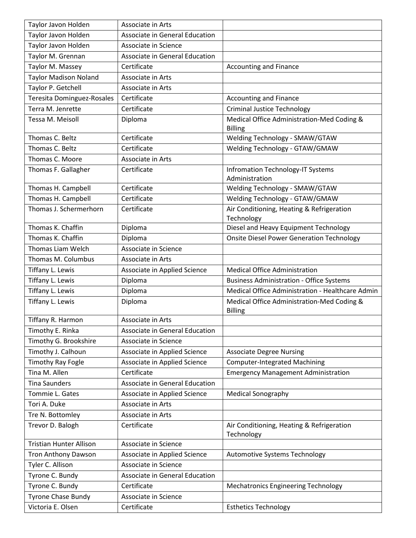| Taylor Javon Holden            | Associate in Arts              |                                                              |
|--------------------------------|--------------------------------|--------------------------------------------------------------|
| Taylor Javon Holden            | Associate in General Education |                                                              |
| Taylor Javon Holden            | Associate in Science           |                                                              |
| Taylor M. Grennan              | Associate in General Education |                                                              |
| Taylor M. Massey               | Certificate                    | <b>Accounting and Finance</b>                                |
| <b>Taylor Madison Noland</b>   | Associate in Arts              |                                                              |
| Taylor P. Getchell             | Associate in Arts              |                                                              |
| Teresita Dominguez-Rosales     | Certificate                    | <b>Accounting and Finance</b>                                |
| Terra M. Jenrette              | Certificate                    | <b>Criminal Justice Technology</b>                           |
| Tessa M. Meisoll               | Diploma                        | Medical Office Administration-Med Coding &                   |
|                                |                                | <b>Billing</b>                                               |
| Thomas C. Beltz                | Certificate                    | Welding Technology - SMAW/GTAW                               |
| Thomas C. Beltz                | Certificate                    | Welding Technology - GTAW/GMAW                               |
| Thomas C. Moore                | Associate in Arts              |                                                              |
| Thomas F. Gallagher            | Certificate                    | Infromation Technology-IT Systems<br>Administration          |
| Thomas H. Campbell             | Certificate                    | Welding Technology - SMAW/GTAW                               |
| Thomas H. Campbell             | Certificate                    | Welding Technology - GTAW/GMAW                               |
| Thomas J. Schermerhorn         | Certificate                    | Air Conditioning, Heating & Refrigeration                    |
|                                |                                | Technology                                                   |
| Thomas K. Chaffin              | Diploma                        | Diesel and Heavy Equipment Technology                        |
| Thomas K. Chaffin              | Diploma                        | <b>Onsite Diesel Power Generation Technology</b>             |
| Thomas Liam Welch              | Associate in Science           |                                                              |
| Thomas M. Columbus             | Associate in Arts              |                                                              |
| Tiffany L. Lewis               | Associate in Applied Science   | <b>Medical Office Administration</b>                         |
| Tiffany L. Lewis               | Diploma                        | <b>Business Administration - Office Systems</b>              |
| Tiffany L. Lewis               | Diploma                        | Medical Office Administration - Healthcare Admin             |
| Tiffany L. Lewis               | Diploma                        | Medical Office Administration-Med Coding &<br><b>Billing</b> |
| Tiffany R. Harmon              | Associate in Arts              |                                                              |
| Timothy E. Rinka               | Associate in General Education |                                                              |
| Timothy G. Brookshire          | Associate in Science           |                                                              |
| Timothy J. Calhoun             | Associate in Applied Science   | <b>Associate Degree Nursing</b>                              |
| <b>Timothy Ray Fogle</b>       | Associate in Applied Science   | <b>Computer-Integrated Machining</b>                         |
| Tina M. Allen                  | Certificate                    | <b>Emergency Management Administration</b>                   |
| <b>Tina Saunders</b>           | Associate in General Education |                                                              |
| Tommie L. Gates                | Associate in Applied Science   | <b>Medical Sonography</b>                                    |
| Tori A. Duke                   | Associate in Arts              |                                                              |
| Tre N. Bottomley               | Associate in Arts              |                                                              |
| Trevor D. Balogh               | Certificate                    | Air Conditioning, Heating & Refrigeration                    |
|                                |                                | Technology                                                   |
| <b>Tristian Hunter Allison</b> | Associate in Science           |                                                              |
| <b>Tron Anthony Dawson</b>     | Associate in Applied Science   | Automotive Systems Technology                                |
| Tyler C. Allison               | Associate in Science           |                                                              |
| Tyrone C. Bundy                | Associate in General Education |                                                              |
| Tyrone C. Bundy                | Certificate                    | <b>Mechatronics Engineering Technology</b>                   |
| <b>Tyrone Chase Bundy</b>      | Associate in Science           |                                                              |
| Victoria E. Olsen              | Certificate                    | <b>Esthetics Technology</b>                                  |